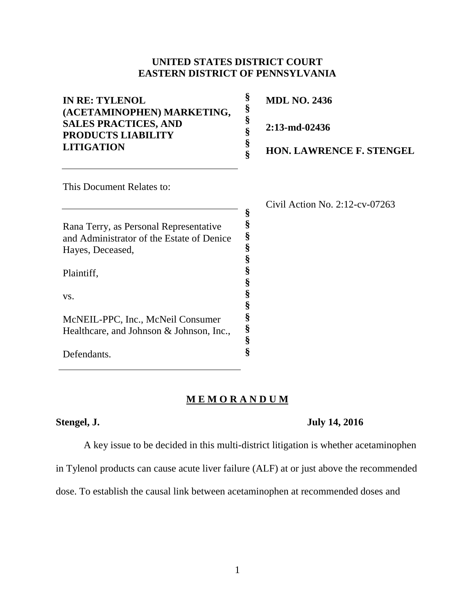# **UNITED STATES DISTRICT COURT EASTERN DISTRICT OF PENNSYLVANIA**

| <b>IN RE: TYLENOL</b><br>(ACETAMINOPHEN) MARKETING,      | §<br>§ | <b>MDL NO. 2436</b>               |
|----------------------------------------------------------|--------|-----------------------------------|
| <b>SALES PRACTICES, AND</b><br><b>PRODUCTS LIABILITY</b> | §<br>§ | 2:13-md-02436                     |
| <b>LITIGATION</b>                                        | §<br>Ś | <b>HON. LAWRENCE F. STENGEL</b>   |
| This Document Relates to:                                |        |                                   |
|                                                          |        | Civil Action No. $2:12$ -cv-07263 |
|                                                          | §      |                                   |
| Rana Terry, as Personal Representative                   | §      |                                   |
| and Administrator of the Estate of Denice                | §      |                                   |
| Hayes, Deceased,                                         | §      |                                   |
|                                                          | §      |                                   |
| Plaintiff,                                               | §      |                                   |
|                                                          | §      |                                   |
| VS.                                                      | §      |                                   |
|                                                          | §      |                                   |
| McNEIL-PPC, Inc., McNeil Consumer                        | §      |                                   |
| Healthcare, and Johnson & Johnson, Inc.,                 | §      |                                   |
|                                                          | ş      |                                   |

# **M E M O R A N D U M**

Defendants.

### **Stengel, J. July 14, 2016**

A key issue to be decided in this multi-district litigation is whether acetaminophen

**§**

in Tylenol products can cause acute liver failure (ALF) at or just above the recommended

dose. To establish the causal link between acetaminophen at recommended doses and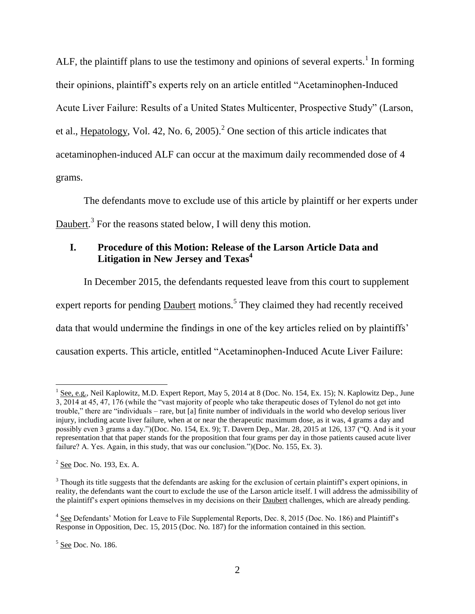ALF, the plaintiff plans to use the testimony and opinions of several experts.<sup>1</sup> In forming their opinions, plaintiff's experts rely on an article entitled "Acetaminophen-Induced Acute Liver Failure: Results of a United States Multicenter, Prospective Study" (Larson, et al., Hepatology, Vol. 42, No. 6, 2005).<sup>2</sup> One section of this article indicates that acetaminophen-induced ALF can occur at the maximum daily recommended dose of 4 grams.

The defendants move to exclude use of this article by plaintiff or her experts under Daubert.<sup>3</sup> For the reasons stated below, I will deny this motion.

# **I. Procedure of this Motion: Release of the Larson Article Data and Litigation in New Jersey and Texas<sup>4</sup>**

In December 2015, the defendants requested leave from this court to supplement expert reports for pending **Daubert** motions.<sup>5</sup> They claimed they had recently received data that would undermine the findings in one of the key articles relied on by plaintiffs' causation experts. This article, entitled "Acetaminophen-Induced Acute Liver Failure:

<sup>&</sup>lt;sup>1</sup> See, e.g., Neil Kaplowitz, M.D. Expert Report, May 5, 2014 at 8 (Doc. No. 154, Ex. 15); N. Kaplowitz Dep., June 3, 2014 at 45, 47, 176 (while the "vast majority of people who take therapeutic doses of Tylenol do not get into trouble," there are "individuals – rare, but [a] finite number of individuals in the world who develop serious liver injury, including acute liver failure, when at or near the therapeutic maximum dose, as it was, 4 grams a day and possibly even 3 grams a day.")(Doc. No. 154, Ex. 9); T. Davern Dep., Mar. 28, 2015 at 126, 137 ("Q. And is it your representation that that paper stands for the proposition that four grams per day in those patients caused acute liver failure? A. Yes. Again, in this study, that was our conclusion.")(Doc. No. 155, Ex. 3).

<sup>&</sup>lt;sup>2</sup> <u>See</u> Doc. No. 193, Ex. A.

<sup>&</sup>lt;sup>3</sup> Though its title suggests that the defendants are asking for the exclusion of certain plaintiff's expert opinions, in reality, the defendants want the court to exclude the use of the Larson article itself. I will address the admissibility of the plaintiff's expert opinions themselves in my decisions on their Daubert challenges, which are already pending.

<sup>&</sup>lt;sup>4</sup> See Defendants' Motion for Leave to File Supplemental Reports, Dec. 8, 2015 (Doc. No. 186) and Plaintiff's Response in Opposition, Dec. 15, 2015 (Doc. No. 187) for the information contained in this section.

<sup>&</sup>lt;sup>5</sup> See Doc. No. 186.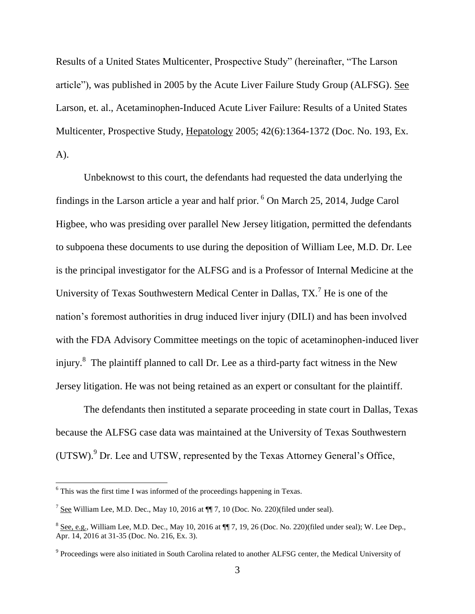Results of a United States Multicenter, Prospective Study" (hereinafter, "The Larson article"), was published in 2005 by the Acute Liver Failure Study Group (ALFSG). See Larson, et. al., Acetaminophen-Induced Acute Liver Failure: Results of a United States Multicenter, Prospective Study, Hepatology 2005; 42(6):1364-1372 (Doc. No. 193, Ex. A).

Unbeknowst to this court, the defendants had requested the data underlying the findings in the Larson article a year and half prior. <sup>6</sup> On March 25, 2014, Judge Carol Higbee, who was presiding over parallel New Jersey litigation, permitted the defendants to subpoena these documents to use during the deposition of William Lee, M.D. Dr. Lee is the principal investigator for the ALFSG and is a Professor of Internal Medicine at the University of Texas Southwestern Medical Center in Dallas, TX.<sup>7</sup> He is one of the nation's foremost authorities in drug induced liver injury (DILI) and has been involved with the FDA Advisory Committee meetings on the topic of acetaminophen-induced liver injury.<sup>8</sup> The plaintiff planned to call Dr. Lee as a third-party fact witness in the New Jersey litigation. He was not being retained as an expert or consultant for the plaintiff.

The defendants then instituted a separate proceeding in state court in Dallas, Texas because the ALFSG case data was maintained at the University of Texas Southwestern (UTSW). <sup>9</sup> Dr. Lee and UTSW, represented by the Texas Attorney General's Office,

 $\overline{a}$ 

 $6$  This was the first time I was informed of the proceedings happening in Texas.

 $^7$  See William Lee, M.D. Dec., May 10, 2016 at  $\P$  $\overline{ }$  7, 10 (Doc. No. 220)(filed under seal).

 $8$  See, e.g., William Lee, M.D. Dec., May 10, 2016 at  $\P$  7, 19, 26 (Doc. No. 220)(filed under seal); W. Lee Dep., Apr. 14, 2016 at 31-35 (Doc. No. 216, Ex. 3).

<sup>&</sup>lt;sup>9</sup> Proceedings were also initiated in South Carolina related to another ALFSG center, the Medical University of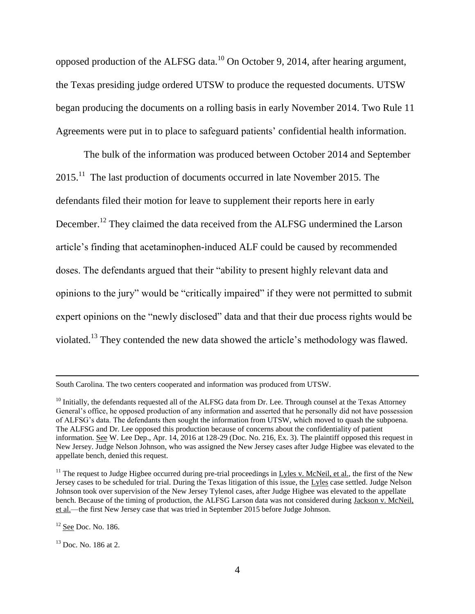opposed production of the ALFSG data.<sup>10</sup> On October 9, 2014, after hearing argument, the Texas presiding judge ordered UTSW to produce the requested documents. UTSW began producing the documents on a rolling basis in early November 2014. Two Rule 11 Agreements were put in to place to safeguard patients' confidential health information.

The bulk of the information was produced between October 2014 and September  $2015$ .<sup>11</sup> The last production of documents occurred in late November 2015. The defendants filed their motion for leave to supplement their reports here in early December.<sup>12</sup> They claimed the data received from the ALFSG undermined the Larson article's finding that acetaminophen-induced ALF could be caused by recommended doses. The defendants argued that their "ability to present highly relevant data and opinions to the jury" would be "critically impaired" if they were not permitted to submit expert opinions on the "newly disclosed" data and that their due process rights would be violated.<sup>13</sup> They contended the new data showed the article's methodology was flawed.

 $\overline{a}$ 

South Carolina. The two centers cooperated and information was produced from UTSW.

 $10$  Initially, the defendants requested all of the ALFSG data from Dr. Lee. Through counsel at the Texas Attorney General's office, he opposed production of any information and asserted that he personally did not have possession of ALFSG's data. The defendants then sought the information from UTSW, which moved to quash the subpoena. The ALFSG and Dr. Lee opposed this production because of concerns about the confidentiality of patient information. See W. Lee Dep., Apr. 14, 2016 at 128-29 (Doc. No. 216, Ex. 3). The plaintiff opposed this request in New Jersey. Judge Nelson Johnson, who was assigned the New Jersey cases after Judge Higbee was elevated to the appellate bench, denied this request.

<sup>&</sup>lt;sup>11</sup> The request to Judge Higbee occurred during pre-trial proceedings in  $Ly$ les v. McNeil, et al., the first of the New Jersey cases to be scheduled for trial. During the Texas litigation of this issue, the Lyles case settled. Judge Nelson Johnson took over supervision of the New Jersey Tylenol cases, after Judge Higbee was elevated to the appellate bench. Because of the timing of production, the ALFSG Larson data was not considered during Jackson v. McNeil, et al.—the first New Jersey case that was tried in September 2015 before Judge Johnson.

 $12$  See Doc. No. 186.

 $13$  Doc. No. 186 at 2.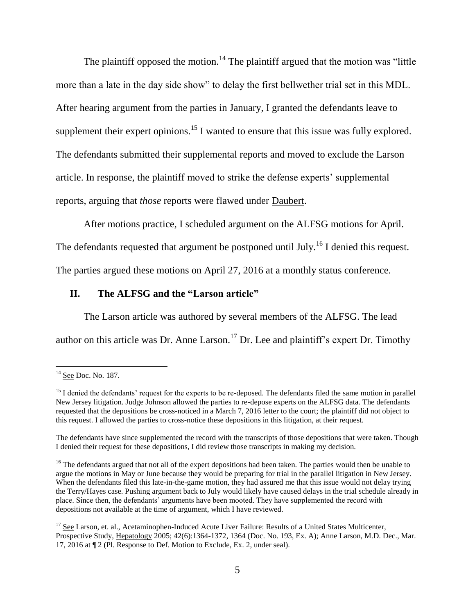The plaintiff opposed the motion.<sup>14</sup> The plaintiff argued that the motion was "little" more than a late in the day side show" to delay the first bellwether trial set in this MDL. After hearing argument from the parties in January, I granted the defendants leave to supplement their expert opinions.<sup>15</sup> I wanted to ensure that this issue was fully explored. The defendants submitted their supplemental reports and moved to exclude the Larson article. In response, the plaintiff moved to strike the defense experts' supplemental reports, arguing that *those* reports were flawed under Daubert.

After motions practice, I scheduled argument on the ALFSG motions for April.

The defendants requested that argument be postponed until July.<sup>16</sup> I denied this request.

The parties argued these motions on April 27, 2016 at a monthly status conference.

#### **II. The ALFSG and the "Larson article"**

The Larson article was authored by several members of the ALFSG. The lead author on this article was Dr. Anne Larson.<sup>17</sup> Dr. Lee and plaintiff's expert Dr. Timothy

l

<sup>&</sup>lt;sup>14</sup> See Doc. No. 187.

<sup>&</sup>lt;sup>15</sup> I denied the defendants' request for the experts to be re-deposed. The defendants filed the same motion in parallel New Jersey litigation. Judge Johnson allowed the parties to re-depose experts on the ALFSG data. The defendants requested that the depositions be cross-noticed in a March 7, 2016 letter to the court; the plaintiff did not object to this request. I allowed the parties to cross-notice these depositions in this litigation, at their request.

The defendants have since supplemented the record with the transcripts of those depositions that were taken. Though I denied their request for these depositions, I did review those transcripts in making my decision.

<sup>&</sup>lt;sup>16</sup> The defendants argued that not all of the expert depositions had been taken. The parties would then be unable to argue the motions in May or June because they would be preparing for trial in the parallel litigation in New Jersey. When the defendants filed this late-in-the-game motion, they had assured me that this issue would not delay trying the Terry/Hayes case. Pushing argument back to July would likely have caused delays in the trial schedule already in place. Since then, the defendants' arguments have been mooted. They have supplemented the record with depositions not available at the time of argument, which I have reviewed.

<sup>&</sup>lt;sup>17</sup> See Larson, et. al., Acetaminophen-Induced Acute Liver Failure: Results of a United States Multicenter, Prospective Study, Hepatology 2005; 42(6):1364-1372, 1364 (Doc. No. 193, Ex. A); Anne Larson, M.D. Dec., Mar. 17, 2016 at ¶ 2 (Pl. Response to Def. Motion to Exclude, Ex. 2, under seal).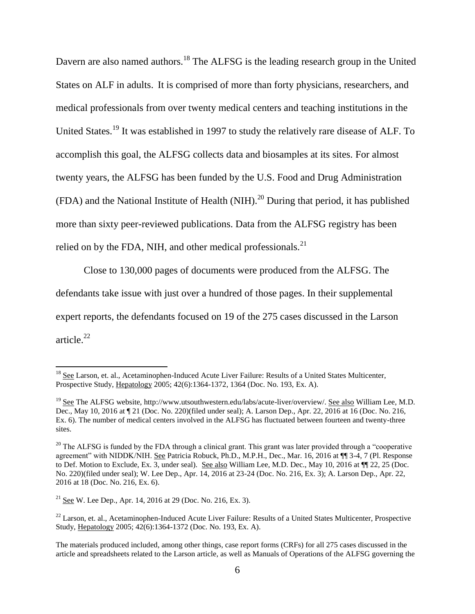Davern are also named authors.<sup>18</sup> The ALFSG is the leading research group in the United States on ALF in adults. It is comprised of more than forty physicians, researchers, and medical professionals from over twenty medical centers and teaching institutions in the United States.<sup>19</sup> It was established in 1997 to study the relatively rare disease of ALF. To accomplish this goal, the ALFSG collects data and biosamples at its sites. For almost twenty years, the ALFSG has been funded by the U.S. Food and Drug Administration (FDA) and the National Institute of Health (NIH).<sup>20</sup> During that period, it has published more than sixty peer-reviewed publications. Data from the ALFSG registry has been relied on by the FDA, NIH, and other medical professionals. $^{21}$ 

Close to 130,000 pages of documents were produced from the ALFSG. The defendants take issue with just over a hundred of those pages. In their supplemental expert reports, the defendants focused on 19 of the 275 cases discussed in the Larson article. 22

<sup>21</sup> See W. Lee Dep., Apr. 14, 2016 at 29 (Doc. No. 216, Ex. 3).

l

<sup>&</sup>lt;sup>18</sup> See Larson, et. al., Acetaminophen-Induced Acute Liver Failure: Results of a United States Multicenter, Prospective Study, Hepatology 2005; 42(6):1364-1372, 1364 (Doc. No. 193, Ex. A).

<sup>&</sup>lt;sup>19</sup> See The ALFSG website, http://www.utsouthwestern.edu/labs/acute-liver/overview/. See also William Lee, M.D. Dec., May 10, 2016 at ¶ 21 (Doc. No. 220)(filed under seal); A. Larson Dep., Apr. 22, 2016 at 16 (Doc. No. 216, Ex. 6). The number of medical centers involved in the ALFSG has fluctuated between fourteen and twenty-three sites.

<sup>&</sup>lt;sup>20</sup> The ALFSG is funded by the FDA through a clinical grant. This grant was later provided through a "cooperative" agreement" with NIDDK/NIH. See Patricia Robuck, Ph.D., M.P.H., Dec., Mar. 16, 2016 at ¶¶ 3-4, 7 (Pl. Response to Def. Motion to Exclude, Ex. 3, under seal). See also William Lee, M.D. Dec., May 10, 2016 at ¶¶ 22, 25 (Doc. No. 220)(filed under seal); W. Lee Dep., Apr. 14, 2016 at 23-24 (Doc. No. 216, Ex. 3); A. Larson Dep., Apr. 22, 2016 at 18 (Doc. No. 216, Ex. 6).

<sup>&</sup>lt;sup>22</sup> Larson, et. al., Acetaminophen-Induced Acute Liver Failure: Results of a United States Multicenter, Prospective Study, Hepatology 2005; 42(6):1364-1372 (Doc. No. 193, Ex. A).

The materials produced included, among other things, case report forms (CRFs) for all 275 cases discussed in the article and spreadsheets related to the Larson article, as well as Manuals of Operations of the ALFSG governing the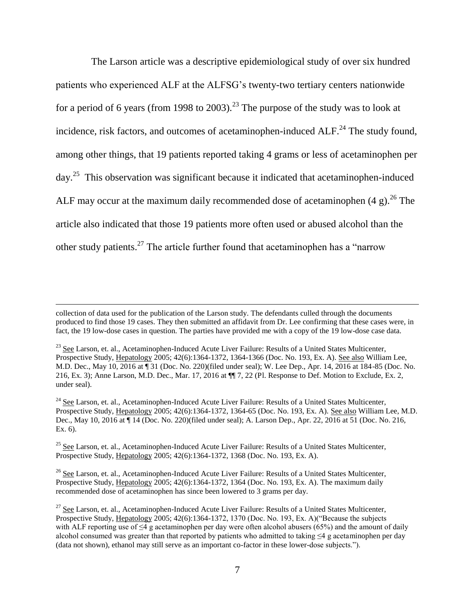The Larson article was a descriptive epidemiological study of over six hundred patients who experienced ALF at the ALFSG's twenty-two tertiary centers nationwide for a period of 6 years (from 1998 to 2003).<sup>23</sup> The purpose of the study was to look at incidence, risk factors, and outcomes of acetaminophen-induced  $ALF<sup>24</sup>$ . The study found, among other things, that 19 patients reported taking 4 grams or less of acetaminophen per day.<sup>25</sup> This observation was significant because it indicated that acetaminophen-induced ALF may occur at the maximum daily recommended dose of acetaminophen  $(4 g)^{26}$ . The article also indicated that those 19 patients more often used or abused alcohol than the other study patients.<sup>27</sup> The article further found that acetaminophen has a "narrow

 $\overline{\phantom{a}}$ 

<sup>25</sup> See Larson, et. al., Acetaminophen-Induced Acute Liver Failure: Results of a United States Multicenter, Prospective Study, Hepatology 2005; 42(6):1364-1372, 1368 (Doc. No. 193, Ex. A).

<sup>26</sup> See Larson, et. al., Acetaminophen-Induced Acute Liver Failure: Results of a United States Multicenter, Prospective Study, Hepatology 2005; 42(6):1364-1372, 1364 (Doc. No. 193, Ex. A). The maximum daily recommended dose of acetaminophen has since been lowered to 3 grams per day.

collection of data used for the publication of the Larson study. The defendants culled through the documents produced to find those 19 cases. They then submitted an affidavit from Dr. Lee confirming that these cases were, in fact, the 19 low-dose cases in question. The parties have provided me with a copy of the 19 low-dose case data.

<sup>&</sup>lt;sup>23</sup> See Larson, et. al., Acetaminophen-Induced Acute Liver Failure: Results of a United States Multicenter, Prospective Study, Hepatology 2005; 42(6):1364-1372, 1364-1366 (Doc. No. 193, Ex. A). See also William Lee, M.D. Dec., May 10, 2016 at ¶ 31 (Doc. No. 220)(filed under seal); W. Lee Dep., Apr. 14, 2016 at 184-85 (Doc. No. 216, Ex. 3); Anne Larson, M.D. Dec., Mar. 17, 2016 at ¶¶ 7, 22 (Pl. Response to Def. Motion to Exclude, Ex. 2, under seal).

<sup>&</sup>lt;sup>24</sup> See Larson, et. al., Acetaminophen-Induced Acute Liver Failure: Results of a United States Multicenter, Prospective Study, Hepatology 2005; 42(6):1364-1372, 1364-65 (Doc. No. 193, Ex. A). See also William Lee, M.D. Dec., May 10, 2016 at ¶ 14 (Doc. No. 220)(filed under seal); A. Larson Dep., Apr. 22, 2016 at 51 (Doc. No. 216, Ex. 6).

<sup>&</sup>lt;sup>27</sup> See Larson, et. al., Acetaminophen-Induced Acute Liver Failure: Results of a United States Multicenter, Prospective Study, Hepatology 2005; 42(6):1364-1372, 1370 (Doc. No. 193, Ex. A)("Because the subjects with ALF reporting use of  $\leq 4$  g acetaminophen per day were often alcohol abusers (65%) and the amount of daily alcohol consumed was greater than that reported by patients who admitted to taking ≤4 g acetaminophen per day (data not shown), ethanol may still serve as an important co-factor in these lower-dose subjects.").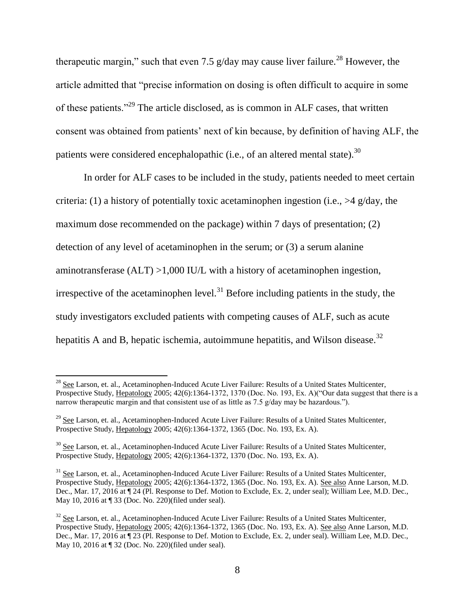therapeutic margin," such that even 7.5 g/day may cause liver failure.<sup>28</sup> However, the article admitted that "precise information on dosing is often difficult to acquire in some of these patients."<sup>29</sup> The article disclosed, as is common in ALF cases, that written consent was obtained from patients' next of kin because, by definition of having ALF, the patients were considered encephalopathic (i.e., of an altered mental state).<sup>30</sup>

In order for ALF cases to be included in the study, patients needed to meet certain criteria: (1) a history of potentially toxic acetaminophen ingestion (i.e.,  $>4$  g/day, the maximum dose recommended on the package) within 7 days of presentation; (2) detection of any level of acetaminophen in the serum; or (3) a serum alanine aminotransferase (ALT) >1,000 IU/L with a history of acetaminophen ingestion, irrespective of the acetaminophen level.<sup>31</sup> Before including patients in the study, the study investigators excluded patients with competing causes of ALF, such as acute hepatitis A and B, hepatic ischemia, autoimmune hepatitis, and Wilson disease.<sup>32</sup>

 $\overline{a}$ 

 $^{28}$  See Larson, et. al., Acetaminophen-Induced Acute Liver Failure: Results of a United States Multicenter, Prospective Study, Hepatology 2005; 42(6):1364-1372, 1370 (Doc. No. 193, Ex. A)("Our data suggest that there is a narrow therapeutic margin and that consistent use of as little as 7.5 g/day may be hazardous.").

<sup>&</sup>lt;sup>29</sup> See Larson, et. al., Acetaminophen-Induced Acute Liver Failure: Results of a United States Multicenter, Prospective Study, Hepatology 2005; 42(6):1364-1372, 1365 (Doc. No. 193, Ex. A).

<sup>&</sup>lt;sup>30</sup> See Larson, et. al., Acetaminophen-Induced Acute Liver Failure: Results of a United States Multicenter, Prospective Study, Hepatology 2005; 42(6):1364-1372, 1370 (Doc. No. 193, Ex. A).

<sup>&</sup>lt;sup>31</sup> See Larson, et. al., Acetaminophen-Induced Acute Liver Failure: Results of a United States Multicenter, Prospective Study, Hepatology 2005; 42(6):1364-1372, 1365 (Doc. No. 193, Ex. A). See also Anne Larson, M.D. Dec., Mar. 17, 2016 at ¶ 24 (Pl. Response to Def. Motion to Exclude, Ex. 2, under seal); William Lee, M.D. Dec., May 10, 2016 at ¶ 33 (Doc. No. 220)(filed under seal).

<sup>&</sup>lt;sup>32</sup> See Larson, et. al., Acetaminophen-Induced Acute Liver Failure: Results of a United States Multicenter, Prospective Study, Hepatology 2005; 42(6):1364-1372, 1365 (Doc. No. 193, Ex. A). See also Anne Larson, M.D. Dec., Mar. 17, 2016 at ¶ 23 (Pl. Response to Def. Motion to Exclude, Ex. 2, under seal). William Lee, M.D. Dec., May 10, 2016 at ¶ 32 (Doc. No. 220)(filed under seal).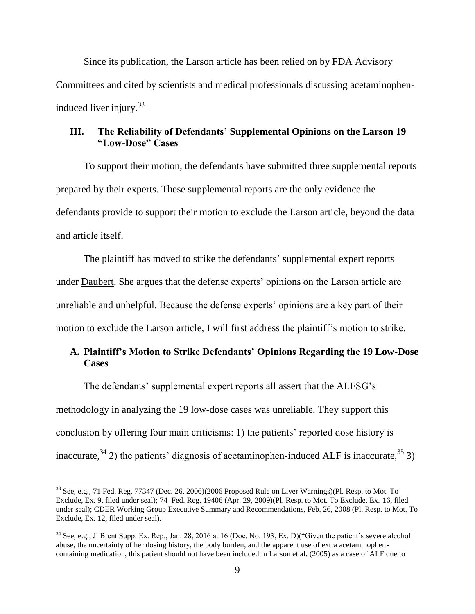Since its publication, the Larson article has been relied on by FDA Advisory Committees and cited by scientists and medical professionals discussing acetaminopheninduced liver injury.<sup>33</sup>

### **III. The Reliability of Defendants' Supplemental Opinions on the Larson 19 "Low-Dose" Cases**

To support their motion, the defendants have submitted three supplemental reports prepared by their experts. These supplemental reports are the only evidence the defendants provide to support their motion to exclude the Larson article, beyond the data and article itself.

The plaintiff has moved to strike the defendants' supplemental expert reports under Daubert. She argues that the defense experts' opinions on the Larson article are unreliable and unhelpful. Because the defense experts' opinions are a key part of their motion to exclude the Larson article, I will first address the plaintiff's motion to strike.

# **A. Plaintiff's Motion to Strike Defendants' Opinions Regarding the 19 Low-Dose Cases**

The defendants' supplemental expert reports all assert that the ALFSG's methodology in analyzing the 19 low-dose cases was unreliable. They support this conclusion by offering four main criticisms: 1) the patients' reported dose history is inaccurate,  $34$  2) the patients' diagnosis of acetaminophen-induced ALF is inaccurate,  $35$  3)

 $\overline{a}$ 

 $33$  See, e.g., 71 Fed. Reg. 77347 (Dec. 26, 2006)(2006 Proposed Rule on Liver Warnings)(Pl. Resp. to Mot. To Exclude, Ex. 9, filed under seal); 74 Fed. Reg. 19406 (Apr. 29, 2009)(Pl. Resp. to Mot. To Exclude, Ex. 16, filed under seal); CDER Working Group Executive Summary and Recommendations, Feb. 26, 2008 (Pl. Resp. to Mot. To Exclude, Ex. 12, filed under seal).

<sup>34</sup> See, e.g., J. Brent Supp. Ex. Rep., Jan. 28, 2016 at 16 (Doc. No. 193, Ex. D)("Given the patient's severe alcohol abuse, the uncertainty of her dosing history, the body burden, and the apparent use of extra acetaminophencontaining medication, this patient should not have been included in Larson et al. (2005) as a case of ALF due to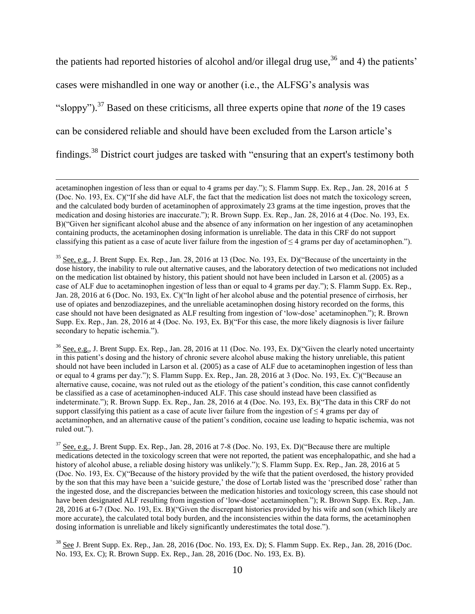the patients had reported histories of alcohol and/or illegal drug use,  $36$  and 4) the patients' cases were mishandled in one way or another (i.e., the ALFSG's analysis was "sloppy"). <sup>37</sup> Based on these criticisms, all three experts opine that *none* of the 19 cases can be considered reliable and should have been excluded from the Larson article's findings.<sup>38</sup> District court judges are tasked with "ensuring that an expert's testimony both

 $\overline{a}$ 

<sup>36</sup> See, e.g., J. Brent Supp. Ex. Rep., Jan. 28, 2016 at 11 (Doc. No. 193, Ex. D)("Given the clearly noted uncertainty in this patient's dosing and the history of chronic severe alcohol abuse making the history unreliable, this patient should not have been included in Larson et al. (2005) as a case of ALF due to acetaminophen ingestion of less than or equal to 4 grams per day."); S. Flamm Supp. Ex. Rep., Jan. 28, 2016 at 3 (Doc. No. 193, Ex. C)("Because an alternative cause, cocaine, was not ruled out as the etiology of the patient's condition, this case cannot confidently be classified as a case of acetaminophen-induced ALF. This case should instead have been classified as indeterminate."); R. Brown Supp. Ex. Rep., Jan. 28, 2016 at 4 (Doc. No. 193, Ex. B)("The data in this CRF do not support classifying this patient as a case of acute liver failure from the ingestion of  $\leq 4$  grams per day of acetaminophen, and an alternative cause of the patient's condition, cocaine use leading to hepatic ischemia, was not ruled out.").

 $37$  See, e.g., J. Brent Supp. Ex. Rep., Jan. 28, 2016 at 7-8 (Doc. No. 193, Ex. D)("Because there are multiple medications detected in the toxicology screen that were not reported, the patient was encephalopathic, and she had a history of alcohol abuse, a reliable dosing history was unlikely."); S. Flamm Supp. Ex. Rep., Jan. 28, 2016 at 5 (Doc. No. 193, Ex. C)("Because of the history provided by the wife that the patient overdosed, the history provided by the son that this may have been a 'suicide gesture,' the dose of Lortab listed was the 'prescribed dose' rather than the ingested dose, and the discrepancies between the medication histories and toxicology screen, this case should not have been designated ALF resulting from ingestion of 'low-dose' acetaminophen."); R. Brown Supp. Ex. Rep., Jan. 28, 2016 at 6-7 (Doc. No. 193, Ex. B)("Given the discrepant histories provided by his wife and son (which likely are more accurate), the calculated total body burden, and the inconsistencies within the data forms, the acetaminophen dosing information is unreliable and likely significantly underestimates the total dose.").

 $38$  See J. Brent Supp. Ex. Rep., Jan. 28, 2016 (Doc. No. 193, Ex. D); S. Flamm Supp. Ex. Rep., Jan. 28, 2016 (Doc. No. 193, Ex. C); R. Brown Supp. Ex. Rep., Jan. 28, 2016 (Doc. No. 193, Ex. B).

acetaminophen ingestion of less than or equal to 4 grams per day."); S. Flamm Supp. Ex. Rep., Jan. 28, 2016 at 5 (Doc. No. 193, Ex. C)("If she did have ALF, the fact that the medication list does not match the toxicology screen, and the calculated body burden of acetaminophen of approximately 23 grams at the time ingestion, proves that the medication and dosing histories are inaccurate."); R. Brown Supp. Ex. Rep., Jan. 28, 2016 at 4 (Doc. No. 193, Ex. B)("Given her significant alcohol abuse and the absence of any information on her ingestion of any acetaminophen containing products, the acetaminophen dosing information is unreliable. The data in this CRF do not support classifying this patient as a case of acute liver failure from the ingestion of  $\leq 4$  grams per day of acetaminophen.").

 $35$  See, e.g., J. Brent Supp. Ex. Rep., Jan. 28, 2016 at 13 (Doc. No. 193, Ex. D)("Because of the uncertainty in the dose history, the inability to rule out alternative causes, and the laboratory detection of two medications not included on the medication list obtained by history, this patient should not have been included in Larson et al. (2005) as a case of ALF due to acetaminophen ingestion of less than or equal to 4 grams per day."); S. Flamm Supp. Ex. Rep., Jan. 28, 2016 at 6 (Doc. No. 193, Ex. C)("In light of her alcohol abuse and the potential presence of cirrhosis, her use of opiates and benzodiazepines, and the unreliable acetaminophen dosing history recorded on the forms, this case should not have been designated as ALF resulting from ingestion of 'low-dose' acetaminophen."); R. Brown Supp. Ex. Rep., Jan. 28, 2016 at 4 (Doc. No. 193, Ex. B)("For this case, the more likely diagnosis is liver failure secondary to hepatic ischemia.").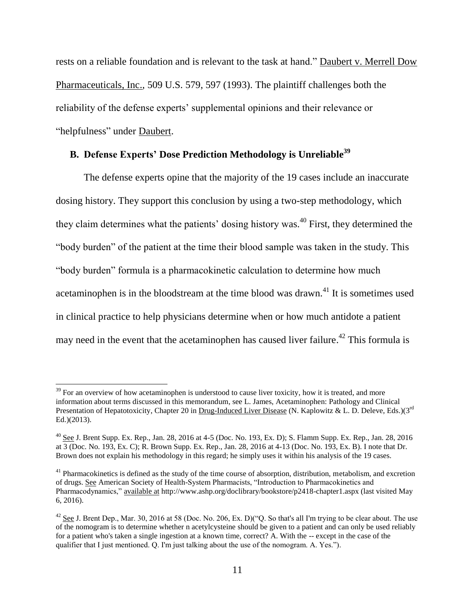rests on a reliable foundation and is relevant to the task at hand." Daubert v. Merrell Dow Pharmaceuticals, Inc., 509 U.S. 579, 597 (1993). The plaintiff challenges both the reliability of the defense experts' supplemental opinions and their relevance or "helpfulness" under Daubert.

# **B. Defense Experts' Dose Prediction Methodology is Unreliable<sup>39</sup>**

The defense experts opine that the majority of the 19 cases include an inaccurate dosing history. They support this conclusion by using a two-step methodology, which they claim determines what the patients' dosing history was. <sup>40</sup> First, they determined the "body burden" of the patient at the time their blood sample was taken in the study. This "body burden" formula is a pharmacokinetic calculation to determine how much acetaminophen is in the bloodstream at the time blood was drawn.<sup>41</sup> It is sometimes used in clinical practice to help physicians determine when or how much antidote a patient may need in the event that the acetaminophen has caused liver failure.<sup>42</sup> This formula is

 $39$  For an overview of how acetaminophen is understood to cause liver toxicity, how it is treated, and more information about terms discussed in this memorandum, see L. James, Acetaminophen: Pathology and Clinical Presentation of Hepatotoxicity, Chapter 20 in Drug-Induced Liver Disease (N. Kaplowitz & L. D. Deleve, Eds.)(3<sup>rd</sup> Ed.)(2013).

 $^{40}$  See J. Brent Supp. Ex. Rep., Jan. 28, 2016 at 4-5 (Doc. No. 193, Ex. D); S. Flamm Supp. Ex. Rep., Jan. 28, 2016 at 3 (Doc. No. 193, Ex. C); R. Brown Supp. Ex. Rep., Jan. 28, 2016 at 4-13 (Doc. No. 193, Ex. B). I note that Dr. Brown does not explain his methodology in this regard; he simply uses it within his analysis of the 19 cases.

 $41$  Pharmacokinetics is defined as the study of the time course of absorption, distribution, metabolism, and excretion of drugs. See American Society of Health-System Pharmacists, "Introduction to Pharmacokinetics and Pharmacodynamics," available at http://www.ashp.org/doclibrary/bookstore/p2418-chapter1.aspx (last visited May 6, 2016).

<sup>&</sup>lt;sup>42</sup> See J. Brent Dep., Mar. 30, 2016 at 58 (Doc. No. 206, Ex. D)("O. So that's all I'm trying to be clear about. The use of the nomogram is to determine whether n acetylcysteine should be given to a patient and can only be used reliably for a patient who's taken a single ingestion at a known time, correct? A. With the -- except in the case of the qualifier that I just mentioned. Q. I'm just talking about the use of the nomogram. A. Yes.").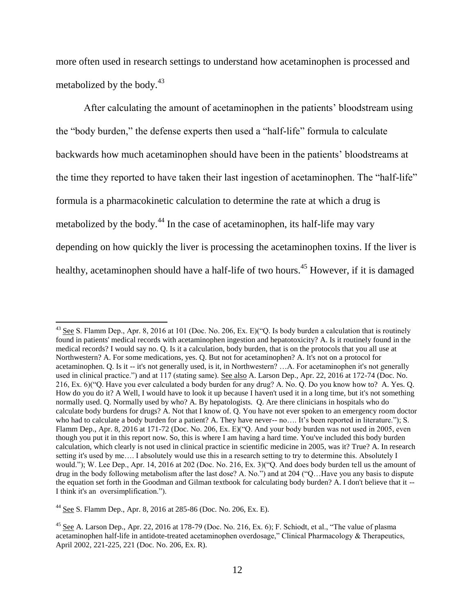more often used in research settings to understand how acetaminophen is processed and metabolized by the body.<sup>43</sup>

After calculating the amount of acetaminophen in the patients' bloodstream using the "body burden," the defense experts then used a "half-life" formula to calculate backwards how much acetaminophen should have been in the patients' bloodstreams at the time they reported to have taken their last ingestion of acetaminophen. The "half-life" formula is a pharmacokinetic calculation to determine the rate at which a drug is metabolized by the body.<sup>44</sup> In the case of acetaminophen, its half-life may vary depending on how quickly the liver is processing the acetaminophen toxins. If the liver is healthy, acetaminophen should have a half-life of two hours.<sup>45</sup> However, if it is damaged

 $\overline{a}$ 

 $^{43}$  See S. Flamm Dep., Apr. 8, 2016 at 101 (Doc. No. 206, Ex. E)("Q. Is body burden a calculation that is routinely found in patients' medical records with acetaminophen ingestion and hepatotoxicity? A. Is it routinely found in the medical records? I would say no. Q. Is it a calculation, body burden, that is on the protocols that you all use at Northwestern? A. For some medications, yes. Q. But not for acetaminophen? A. It's not on a protocol for acetaminophen. Q. Is it -- it's not generally used, is it, in Northwestern? …A. For acetaminophen it's not generally used in clinical practice.") and at 117 (stating same). See also A. Larson Dep., Apr. 22, 2016 at 172-74 (Doc. No. 216, Ex. 6)("Q. Have you ever calculated a body burden for any drug? A. No. Q. Do you know how to? A. Yes. Q. How do you do it? A Well, I would have to look it up because I haven't used it in a long time, but it's not something normally used. Q. Normally used by who? A. By hepatologists. Q. Are there clinicians in hospitals who do calculate body burdens for drugs? A. Not that I know of. Q. You have not ever spoken to an emergency room doctor who had to calculate a body burden for a patient? A. They have never-- no.... It's been reported in literature."); S. Flamm Dep., Apr. 8, 2016 at 171-72 (Doc. No. 206, Ex. E)("Q. And your body burden was not used in 2005, even though you put it in this report now. So, this is where I am having a hard time. You've included this body burden calculation, which clearly is not used in clinical practice in scientific medicine in 2005, was it? True? A. In research setting it's used by me…. I absolutely would use this in a research setting to try to determine this. Absolutely I would."); W. Lee Dep., Apr. 14, 2016 at 202 (Doc. No. 216, Ex. 3)("Q. And does body burden tell us the amount of drug in the body following metabolism after the last dose? A. No.") and at 204 ("Q…Have you any basis to dispute the equation set forth in the Goodman and Gilman textbook for calculating body burden? A. I don't believe that it -- I think it's an oversimplification.").

<sup>44</sup> See S. Flamm Dep., Apr. 8, 2016 at 285-86 (Doc. No. 206, Ex. E).

<sup>&</sup>lt;sup>45</sup> See A. Larson Dep., Apr. 22, 2016 at 178-79 (Doc. No. 216, Ex. 6); F. Schiodt, et al., "The value of plasma acetaminophen half-life in antidote-treated acetaminophen overdosage," Clinical Pharmacology & Therapeutics, April 2002, 221-225, 221 (Doc. No. 206, Ex. R).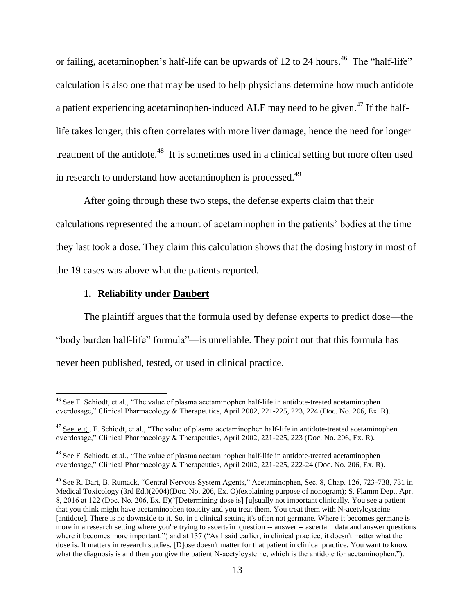or failing, acetaminophen's half-life can be upwards of 12 to 24 hours.<sup>46</sup> The "half-life" calculation is also one that may be used to help physicians determine how much antidote a patient experiencing acetaminophen-induced ALF may need to be given.<sup>47</sup> If the halflife takes longer, this often correlates with more liver damage, hence the need for longer treatment of the antidote.<sup>48</sup> It is sometimes used in a clinical setting but more often used in research to understand how acetaminophen is processed.<sup>49</sup>

After going through these two steps, the defense experts claim that their calculations represented the amount of acetaminophen in the patients' bodies at the time they last took a dose. They claim this calculation shows that the dosing history in most of the 19 cases was above what the patients reported.

#### **1. Reliability under Daubert**

 $\overline{a}$ 

The plaintiff argues that the formula used by defense experts to predict dose—the "body burden half-life" formula"—is unreliable. They point out that this formula has never been published, tested, or used in clinical practice.

<sup>&</sup>lt;sup>46</sup> See F. Schiodt, et al., "The value of plasma acetaminophen half-life in antidote-treated acetaminophen overdosage," Clinical Pharmacology & Therapeutics, April 2002, 221-225, 223, 224 (Doc. No. 206, Ex. R).

 $47$  See, e.g., F. Schiodt, et al., "The value of plasma acetaminophen half-life in antidote-treated acetaminophen overdosage," Clinical Pharmacology & Therapeutics, April 2002, 221-225, 223 (Doc. No. 206, Ex. R).

<sup>48</sup> See F. Schiodt, et al., "The value of plasma acetaminophen half-life in antidote-treated acetaminophen overdosage," Clinical Pharmacology & Therapeutics, April 2002, 221-225, 222-24 (Doc. No. 206, Ex. R).

<sup>&</sup>lt;sup>49</sup> See R. Dart, B. Rumack, "Central Nervous System Agents," Acetaminophen, Sec. 8, Chap. 126, 723-738, 731 in Medical Toxicology (3rd Ed.)(2004)(Doc. No. 206, Ex. O)(explaining purpose of nonogram); S. Flamm Dep., Apr. 8, 2016 at 122 (Doc. No. 206, Ex. E)("[Determining dose is] [u]sually not important clinically. You see a patient that you think might have acetaminophen toxicity and you treat them. You treat them with N-acetylcysteine [antidote]. There is no downside to it. So, in a clinical setting it's often not germane. Where it becomes germane is more in a research setting where you're trying to ascertain question -- answer -- ascertain data and answer questions where it becomes more important.") and at 137 ("As I said earlier, in clinical practice, it doesn't matter what the dose is. It matters in research studies. [D]ose doesn't matter for that patient in clinical practice. You want to know what the diagnosis is and then you give the patient N-acetylcysteine, which is the antidote for acetaminophen.").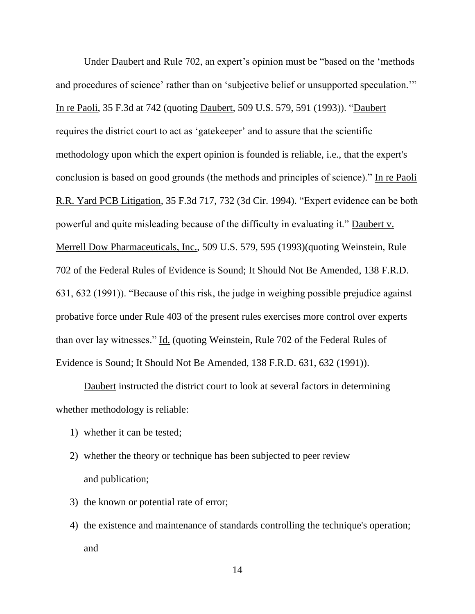Under Daubert and Rule 702, an expert's opinion must be "based on the 'methods and procedures of science' rather than on 'subjective belief or unsupported speculation.'" In re Paoli, 35 F.3d at 742 (quoting Daubert, 509 U.S. 579, 591 (1993)). "Daubert requires the district court to act as 'gatekeeper' and to assure that the scientific methodology upon which the expert opinion is founded is reliable, i.e., that the expert's conclusion is based on good grounds (the methods and principles of science)." In re Paoli R.R. Yard PCB Litigation, 35 F.3d 717, 732 (3d Cir. 1994). "Expert evidence can be both powerful and quite misleading because of the difficulty in evaluating it." Daubert v. Merrell Dow Pharmaceuticals, Inc., 509 U.S. 579, 595 (1993)(quoting Weinstein, Rule 702 of the Federal Rules of Evidence is Sound; It Should Not Be Amended, 138 F.R.D. 631, 632 (1991)). "Because of this risk, the judge in weighing possible prejudice against probative force under Rule 403 of the present rules exercises more control over experts than over lay witnesses." Id. (quoting Weinstein, Rule 702 of the Federal Rules of Evidence is Sound; It Should Not Be Amended, 138 F.R.D. 631, 632 (1991)).

Daubert instructed the district court to look at several factors in determining whether methodology is reliable:

- 1) whether it can be tested;
- 2) whether the theory or technique has been subjected to peer review and publication;
- 3) the known or potential rate of error;
- 4) the existence and maintenance of standards controlling the technique's operation; and

14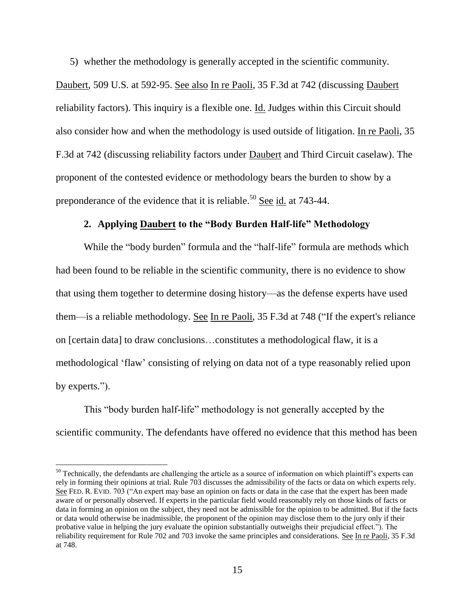5) whether the methodology is generally accepted in the scientific community.

Daubert, 509 U.S. at 592-95. See also In re Paoli, 35 F.3d at 742 (discussing Daubert reliability factors). This inquiry is a flexible one. Id. Judges within this Circuit should also consider how and when the methodology is used outside of litigation. In re Paoli, 35 F.3d at 742 (discussing reliability factors under Daubert and Third Circuit caselaw). The proponent of the contested evidence or methodology bears the burden to show by a preponderance of the evidence that it is reliable.<sup>50</sup> See id. at  $743-44$ .

#### **2. Applying Daubert to the "Body Burden Half-life" Methodology**

While the "body burden" formula and the "half-life" formula are methods which had been found to be reliable in the scientific community, there is no evidence to show that using them together to determine dosing history—as the defense experts have used them—is a reliable methodology. See In re Paoli, 35 F.3d at 748 ("If the expert's reliance on [certain data] to draw conclusions…constitutes a methodological flaw, it is a methodological 'flaw' consisting of relying on data not of a type reasonably relied upon by experts.").

This "body burden half-life" methodology is not generally accepted by the scientific community. The defendants have offered no evidence that this method has been

 $50$  Technically, the defendants are challenging the article as a source of information on which plaintiff's experts can rely in forming their opinions at trial. Rule 703 discusses the admissibility of the facts or data on which experts rely. See FED. R. EVID. 703 ("An expert may base an opinion on facts or data in the case that the expert has been made aware of or personally observed. If experts in the particular field would reasonably rely on those kinds of facts or data in forming an opinion on the subject, they need not be admissible for the opinion to be admitted. But if the facts or data would otherwise be inadmissible, the proponent of the opinion may disclose them to the jury only if their probative value in helping the jury evaluate the opinion substantially outweighs their prejudicial effect."). The reliability requirement for Rule 702 and 703 invoke the same principles and considerations. See In re Paoli, 35 F.3d at 748.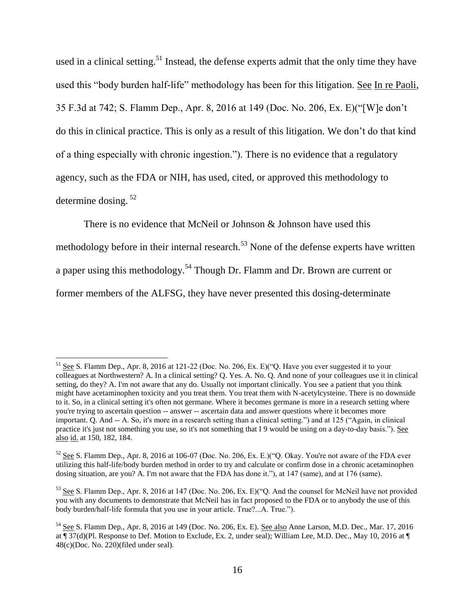used in a clinical setting.<sup>51</sup> Instead, the defense experts admit that the only time they have used this "body burden half-life" methodology has been for this litigation. See In re Paoli, 35 F.3d at 742; S. Flamm Dep., Apr. 8, 2016 at 149 (Doc. No. 206, Ex. E)("[W]e don't do this in clinical practice. This is only as a result of this litigation. We don't do that kind of a thing especially with chronic ingestion."). There is no evidence that a regulatory agency, such as the FDA or NIH, has used, cited, or approved this methodology to determine dosing. <sup>52</sup>

There is no evidence that McNeil or Johnson & Johnson have used this methodology before in their internal research.<sup>53</sup> None of the defense experts have written a paper using this methodology.<sup>54</sup> Though Dr. Flamm and Dr. Brown are current or former members of the ALFSG, they have never presented this dosing-determinate

<sup>51</sup> See S. Flamm Dep., Apr. 8, 2016 at 121-22 (Doc. No. 206, Ex. E)("Q. Have you ever suggested it to your colleagues at Northwestern? A. In a clinical setting? Q. Yes. A. No. Q. And none of your colleagues use it in clinical setting, do they? A. I'm not aware that any do. Usually not important clinically. You see a patient that you think might have acetaminophen toxicity and you treat them. You treat them with N-acetylcysteine. There is no downside to it. So, in a clinical setting it's often not germane. Where it becomes germane is more in a research setting where you're trying to ascertain question -- answer -- ascertain data and answer questions where it becomes more important. Q. And -- A. So, it's more in a research setting than a clinical setting.") and at 125 ("Again, in clinical practice it's just not something you use, so it's not something that I 9 would be using on a day-to-day basis."). See also id. at 150, 182, 184.

 $52$  See S. Flamm Dep., Apr. 8, 2016 at 106-07 (Doc. No. 206, Ex. E.)("O. Okay. You're not aware of the FDA ever utilizing this half-life/body burden method in order to try and calculate or confirm dose in a chronic acetaminophen dosing situation, are you? A. I'm not aware that the FDA has done it."), at 147 (same), and at 176 (same).

<sup>&</sup>lt;sup>53</sup> See S. Flamm Dep., Apr. 8, 2016 at 147 (Doc. No. 206, Ex. E)("O. And the counsel for McNeil have not provided you with any documents to demonstrate that McNeil has in fact proposed to the FDA or to anybody the use of this body burden/half-life formula that you use in your article. True?...A. True.").

<sup>54</sup> See S. Flamm Dep., Apr. 8, 2016 at 149 (Doc. No. 206, Ex. E). See also Anne Larson, M.D. Dec., Mar. 17, 2016 at ¶ 37(d)(Pl. Response to Def. Motion to Exclude, Ex. 2, under seal); William Lee, M.D. Dec., May 10, 2016 at ¶ 48(c)(Doc. No. 220)(filed under seal).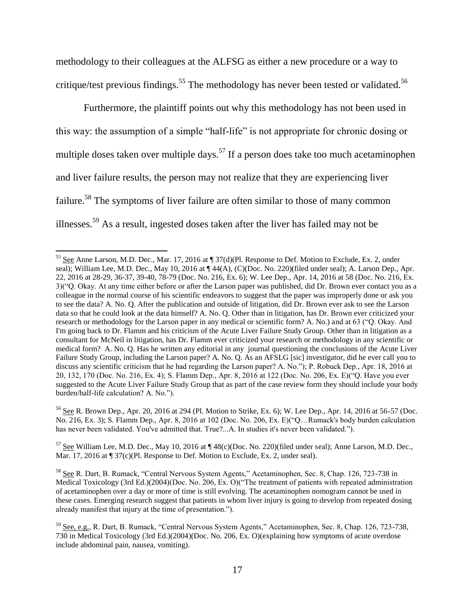methodology to their colleagues at the ALFSG as either a new procedure or a way to critique/test previous findings.<sup>55</sup> The methodology has never been tested or validated.<sup>56</sup>

Furthermore, the plaintiff points out why this methodology has not been used in this way: the assumption of a simple "half-life" is not appropriate for chronic dosing or multiple doses taken over multiple days.<sup>57</sup> If a person does take too much acetaminophen and liver failure results, the person may not realize that they are experiencing liver failure.<sup>58</sup> The symptoms of liver failure are often similar to those of many common illnesses.<sup>59</sup> As a result, ingested doses taken after the liver has failed may not be

 $\overline{\phantom{a}}$ 

<sup>56</sup> See R. Brown Dep., Apr. 20, 2016 at 294 (Pl. Motion to Strike, Ex. 6); W. Lee Dep., Apr. 14, 2016 at 56-57 (Doc. No. 216, Ex. 3); S. Flamm Dep., Apr. 8, 2016 at 102 (Doc. No. 206, Ex. E)("Q…Rumack's body burden calculation has never been validated. You've admitted that. True?...A. In studies it's never been validated.").

<sup>57</sup> See William Lee, M.D. Dec., May 10, 2016 at ¶ 48(c)(Doc. No. 220)(filed under seal); Anne Larson, M.D. Dec., Mar. 17, 2016 at  $\P$  37(c)(Pl. Response to Def. Motion to Exclude, Ex. 2, under seal).

<sup>&</sup>lt;sup>55</sup> See Anne Larson, M.D. Dec., Mar. 17, 2016 at ¶ 37(d)(Pl. Response to Def. Motion to Exclude, Ex. 2, under seal); William Lee, M.D. Dec., May 10, 2016 at  $\P$  44(A), (C)(Doc. No. 220)(filed under seal); A. Larson Dep., Apr. 22, 2016 at 28-29, 36-37, 39-40, 78-79 (Doc. No. 216, Ex. 6); W. Lee Dep., Apr. 14, 2016 at 58 (Doc. No. 216, Ex. 3)("Q. Okay. At any time either before or after the Larson paper was published, did Dr. Brown ever contact you as a colleague in the normal course of his scientific endeavors to suggest that the paper was improperly done or ask you to see the data? A. No. Q. After the publication and outside of litigation, did Dr. Brown ever ask to see the Larson data so that he could look at the data himself? A. No. Q. Other than in litigation, has Dr. Brown ever criticized your research or methodology for the Larson paper in any medical or scientific form? A. No.) and at 63 ("Q. Okay. And I'm going back to Dr. Flamm and his criticism of the Acute Liver Failure Study Group. Other than in litigation as a consultant for McNeil in litigation, has Dr. Flamm ever criticized your research or methodology in any scientific or medical form? A. No. Q. Has he written any editorial in any journal questioning the conclusions of the Acute Liver Failure Study Group, including the Larson paper? A. No. Q. As an AFSLG [sic] investigator, did he ever call you to discuss any scientific criticism that he had regarding the Larson paper? A. No."); P. Robuck Dep., Apr. 18, 2016 at 20, 132, 170 (Doc. No. 216, Ex. 4); S. Flamm Dep., Apr. 8, 2016 at 122 (Doc. No. 206, Ex. E)("Q. Have you ever suggested to the Acute Liver Failure Study Group that as part of the case review form they should include your body burden/half-life calculation? A. No.").

<sup>58</sup> See R. Dart, B. Rumack, "Central Nervous System Agents," Acetaminophen, Sec. 8, Chap. 126, 723-738 in Medical Toxicology (3rd Ed.)(2004)(Doc. No. 206, Ex. O)("The treatment of patients with repeated administration of acetaminophen over a day or more of time is still evolving. The acetaminophen nomogram cannot be used in these cases. Emerging research suggest that patients in whom liver injury is going to develop from repeated dosing already manifest that injury at the time of presentation.").

<sup>59</sup> See, e.g., R. Dart, B. Rumack, "Central Nervous System Agents," Acetaminophen, Sec. 8, Chap. 126, 723-738, 730 in Medical Toxicology (3rd Ed.)(2004)(Doc. No. 206, Ex. O)(explaining how symptoms of acute overdose include abdominal pain, nausea, vomiting).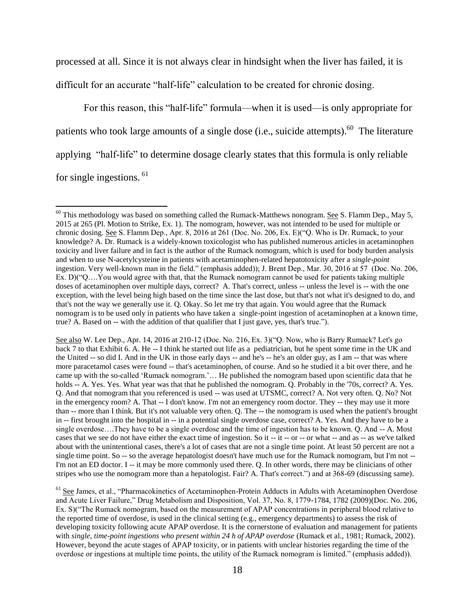processed at all. Since it is not always clear in hindsight when the liver has failed, it is difficult for an accurate "half-life" calculation to be created for chronic dosing.

For this reason, this "half-life" formula—when it is used—is only appropriate for patients who took large amounts of a single dose (i.e., suicide attempts). $60$  The literature applying "half-life" to determine dosage clearly states that this formula is only reliable for single ingestions. <sup>61</sup>

l

See also W. Lee Dep., Apr. 14, 2016 at 210-12 (Doc. No. 216, Ex. 3)("Q. Now, who is Barry Rumack? Let's go back 7 to that Exhibit 6. A. He -- I think he started out life as a pediatrician, but he spent some time in the UK and the United -- so did I. And in the UK in those early days -- and he's -- he's an older guy, as I am -- that was where more paracetamol cases were found -- that's acetaminophen, of course. And so he studied it a bit over there, and he came up with the so-called 'Rumack nomogram.'… He published the nomogram based upon scientific data that he holds -- A. Yes. Yes. What year was that that he published the nomogram. Q. Probably in the '70s, correct? A. Yes. Q. And that nomogram that you referenced is used -- was used at UTSMC, correct? A. Not very often. Q. No? Not in the emergency room? A. That -- I don't know. I'm not an emergency room doctor. They -- they may use it more than -- more than I think. But it's not valuable very often. Q. The -- the nomogram is used when the patient's brought in -- first brought into the hospital in -- in a potential single overdose case, correct? A. Yes. And they have to be a single overdose….They have to be a single overdose and the time of ingestion has to be known. Q. And -- A. Most cases that we see do not have either the exact time of ingestion. So it -- it -- or -- or what -- and as -- as we've talked about with the unintentional cases, there's a lot of cases that are not a single time point. At least 50 percent are not a single time point. So -- so the average hepatologist doesn't have much use for the Rumack nomogram, but I'm not --I'm not an ED doctor. I -- it may be more commonly used there. Q. In other words, there may be clinicians of other stripes who use the nomogram more than a hepatologist. Fair? A. That's correct.") and at 368-69 (discussing same).

<sup>61</sup> See James, et al., "Pharmacokinetics of Acetaminophen-Protein Adducts in Adults with Acetaminophen Overdose and Acute Liver Failure," Drug Metabolism and Disposition, Vol. 37, No. 8, 1779-1784, 1782 (2009)(Doc. No. 206, Ex. S)("The Rumack nomogram, based on the measurement of APAP concentrations in peripheral blood relative to the reported time of overdose, is used in the clinical setting (e.g., emergency departments) to assess the risk of developing toxicity following acute APAP overdose. It is the cornerstone of evaluation and management for patients with *single*, *time-point ingestions who present within 24 h of APAP overdose* (Rumack et al., 1981; Rumack, 2002). However, beyond the acute stages of APAP toxicity, or in patients with unclear histories regarding the time of the overdose or ingestions at multiple time points, the utility of the Rumack nomogram is limited." (emphasis added)).

 $60$  This methodology was based on something called the Rumack-Matthews nonogram. See S. Flamm Dep., May 5, 2015 at 265 (Pl. Motion to Strike, Ex. 1). The nomogram, however, was not intended to be used for multiple or chronic dosing. See S. Flamm Dep., Apr. 8, 2016 at 261 (Doc. No. 206, Ex. E)("Q. Who is Dr. Rumack, to your knowledge? A. Dr. Rumack is a widely-known toxicologist who has published numerous articles in acetaminophen toxicity and liver failure and in fact is the author of the Rumack nomogram, which is used for body burden analysis and when to use N-acetylcysteine in patients with acetaminophen-related hepatotoxicity after a *single-point* ingestion. Very well-known man in the field." (emphasis added)); J. Brent Dep., Mar. 30, 2016 at 57 (Doc. No. 206, Ex. D)("Q….You would agree with that, that the Rumack nomogram cannot be used for patients taking multiple doses of acetaminophen over multiple days, correct? A. That's correct, unless -- unless the level is -- with the one exception, with the level being high based on the time since the last dose, but that's not what it's designed to do, and that's not the way we generally use it. Q. Okay. So let me try that again. You would agree that the Rumack nomogram is to be used only in patients who have taken a single-point ingestion of acetaminophen at a known time, true? A. Based on -- with the addition of that qualifier that I just gave, yes, that's true.").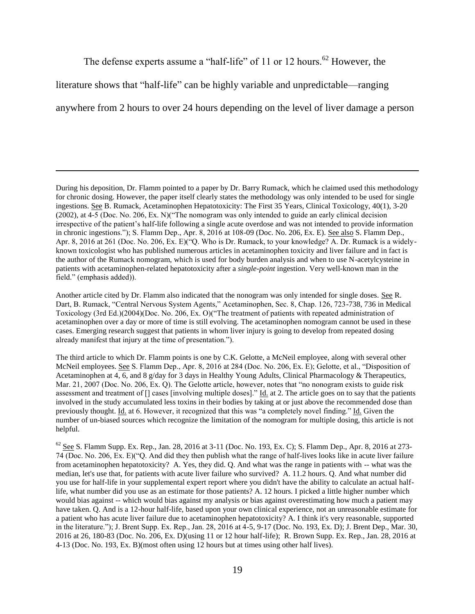The defense experts assume a "half-life" of 11 or 12 hours.<sup>62</sup> However, the

literature shows that "half-life" can be highly variable and unpredictable—ranging

 $\overline{\phantom{a}}$ 

anywhere from 2 hours to over 24 hours depending on the level of liver damage a person

During his deposition, Dr. Flamm pointed to a paper by Dr. Barry Rumack, which he claimed used this methodology for chronic dosing. However, the paper itself clearly states the methodology was only intended to be used for single ingestions. See B. Rumack, Acetaminophen Hepatotoxicity: The First 35 Years, Clinical Toxicology, 40(1), 3-20 (2002), at 4-5 (Doc. No. 206, Ex. N)("The nomogram was only intended to guide an early clinical decision irrespective of the patient's half-life following a single acute overdose and was not intended to provide information in chronic ingestions."); S. Flamm Dep., Apr. 8, 2016 at 108-09 (Doc. No. 206, Ex. E). See also S. Flamm Dep., Apr. 8, 2016 at 261 (Doc. No. 206, Ex. E)("Q. Who is Dr. Rumack, to your knowledge? A. Dr. Rumack is a widelyknown toxicologist who has published numerous articles in acetaminophen toxicity and liver failure and in fact is the author of the Rumack nomogram, which is used for body burden analysis and when to use N-acetylcysteine in patients with acetaminophen-related hepatotoxicity after a *single-point* ingestion. Very well-known man in the field." (emphasis added)).

Another article cited by Dr. Flamm also indicated that the nonogram was only intended for single doses. See R. Dart, B. Rumack, "Central Nervous System Agents," Acetaminophen, Sec. 8, Chap. 126, 723-738, 736 in Medical Toxicology (3rd Ed.)(2004)(Doc. No. 206, Ex. O)("The treatment of patients with repeated administration of acetaminophen over a day or more of time is still evolving. The acetaminophen nomogram cannot be used in these cases. Emerging research suggest that patients in whom liver injury is going to develop from repeated dosing already manifest that injury at the time of presentation.").

The third article to which Dr. Flamm points is one by C.K. Gelotte, a McNeil employee, along with several other McNeil employees. See S. Flamm Dep., Apr. 8, 2016 at 284 (Doc. No. 206, Ex. E); Gelotte, et al., "Disposition of Acetaminophen at 4, 6, and 8 g/day for 3 days in Healthy Young Adults, Clinical Pharmacology & Therapeutics, Mar. 21, 2007 (Doc. No. 206, Ex. Q). The Gelotte article, however, notes that "no nonogram exists to guide risk assessment and treatment of [] cases [involving multiple doses]." Id. at 2. The article goes on to say that the patients involved in the study accumulated less toxins in their bodies by taking at or just above the recommended dose than previously thought. Id. at 6. However, it recognized that this was "a completely novel finding." Id. Given the number of un-biased sources which recognize the limitation of the nomogram for multiple dosing, this article is not helpful.

 $62$  See S. Flamm Supp. Ex. Rep., Jan. 28, 2016 at 3-11 (Doc. No. 193, Ex. C); S. Flamm Dep., Apr. 8, 2016 at 273-74 (Doc. No. 206, Ex. E)("Q. And did they then publish what the range of half-lives looks like in acute liver failure from acetaminophen hepatotoxicity? A. Yes, they did. Q. And what was the range in patients with -- what was the median, let's use that, for patients with acute liver failure who survived? A. 11.2 hours. Q. And what number did you use for half-life in your supplemental expert report where you didn't have the ability to calculate an actual halflife, what number did you use as an estimate for those patients? A. 12 hours. I picked a little higher number which would bias against -- which would bias against my analysis or bias against overestimating how much a patient may have taken. Q. And is a 12-hour half-life, based upon your own clinical experience, not an unreasonable estimate for a patient who has acute liver failure due to acetaminophen hepatotoxicity? A. I think it's very reasonable, supported in the literature."); J. Brent Supp. Ex. Rep., Jan. 28, 2016 at 4-5, 9-17 (Doc. No. 193, Ex. D); J. Brent Dep., Mar. 30, 2016 at 26, 180-83 (Doc. No. 206, Ex. D)(using 11 or 12 hour half-life); R. Brown Supp. Ex. Rep., Jan. 28, 2016 at 4-13 (Doc. No. 193, Ex. B)(most often using 12 hours but at times using other half lives).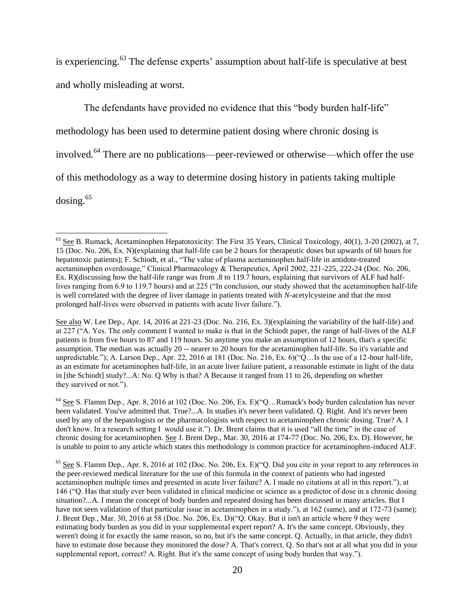is experiencing.<sup>63</sup> The defense experts' assumption about half-life is speculative at best and wholly misleading at worst.

The defendants have provided no evidence that this "body burden half-life" methodology has been used to determine patient dosing where chronic dosing is involved.<sup>64</sup> There are no publications—peer-reviewed or otherwise—which offer the use of this methodology as a way to determine dosing history in patients taking multiple dosing.<sup>65</sup>

 $\overline{a}$ 

See also W. Lee Dep., Apr. 14, 2016 at 221-23 (Doc. No. 216, Ex. 3)(explaining the variability of the half-life) and at 227 ("A. Yes. The only comment I wanted to make is that in the Schiodt paper, the range of half-lives of the ALF patients is from five hours to 87 and 119 hours. So anytime you make an assumption of 12 hours, that's a specific assumption. The median was actually 20 -- nearer to 20 hours for the acetaminophen half-life. So it's variable and unpredictable."); A. Larson Dep., Apr. 22, 2016 at 181 (Doc. No. 216, Ex. 6)("Q…Is the use of a 12-hour half-life, as an estimate for acetaminophen half-life, in an acute liver failure patient, a reasonable estimate in light of the data in [the Schiodt] study?...A: No. Q Why is that? A Because it ranged from 11 to 26, depending on whether they survived or not.").

<sup>64</sup> See S. Flamm Dep., Apr. 8, 2016 at 102 (Doc. No. 206, Ex. E)("Q…Rumack's body burden calculation has never been validated. You've admitted that. True?...A. In studies it's never been validated. Q. Right. And it's never been used by any of the hepatologists or the pharmacologists with respect to acetaminophen chronic dosing. True? A. I don't know. In a research setting I would use it."). Dr. Brent claims that it is used "all the time" in the case of chronic dosing for acetaminophen. See J. Brent Dep., Mar. 30, 2016 at 174-77 (Doc. No. 206, Ex. D). However, he is unable to point to any article which states this methodology is common practice for acetaminophen-induced ALF.

 $65$  See S. Flamm Dep., Apr. 8, 2016 at 102 (Doc. No. 206, Ex. E)( $^{\circ}$ Q. Did you cite in your report to any references in the peer-reviewed medical literature for the use of this formula in the context of patients who had ingested acetaminophen multiple times and presented in acute liver failure? A. I made no citations at all in this report."), at 146 ("Q. Has that study ever been validated in clinical medicine or science as a predictor of dose in a chronic dosing situation?...A. I mean the concept of body burden and repeated dosing has been discussed in many articles. But I have not seen validation of that particular issue in acetaminophen in a study."), at 162 (same), and at 172-73 (same); J. Brent Dep., Mar. 30, 2016 at 58 (Doc. No. 206, Ex. D)("Q. Okay. But it isn't an article where 9 they were estimating body burden as you did in your supplemental expert report? A. It's the same concept. Obviously, they weren't doing it for exactly the same reason, so no, but it's the same concept. Q. Actually, in that article, they didn't have to estimate dose because they monitored the dose? A. That's correct. Q. So that's not at all what you did in your supplemental report, correct? A. Right. But it's the same concept of using body burden that way.").

 $^{63}$  See B. Rumack, Acetaminophen Hepatotoxicity: The First 35 Years, Clinical Toxicology, 40(1), 3-20 (2002), at 7, 15 (Doc. No. 206, Ex. N)(explaining that half-life can be 2 hours for therapeutic doses but upwards of 60 hours for hepatotoxic patients); F. Schiodt, et al., "The value of plasma acetaminophen half-life in antidote-treated acetaminophen overdosage," Clinical Pharmacology & Therapeutics, April 2002, 221-225, 222-24 (Doc. No. 206, Ex. R)(discussing how the half-life range was from .8 to 119.7 hours, explaining that survivors of ALF had halflives ranging from 6.9 to 119.7 hours) and at 225 ("In conclusion, our study showed that the acetaminophen half-life is well correlated with the degree of liver damage in patients treated with *N*-acetylcysteine and that the most prolonged half-lives were observed in patients with acute liver failure.").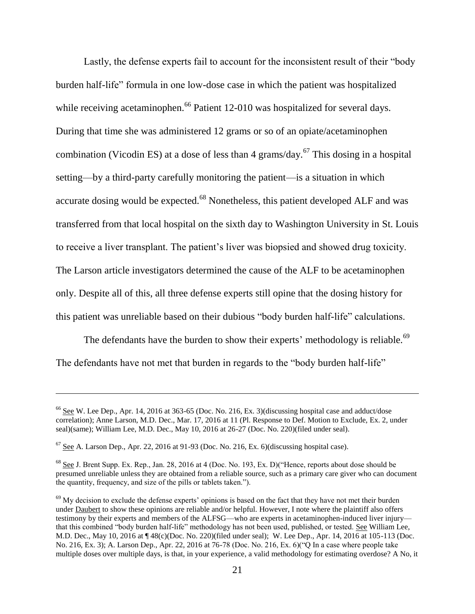Lastly, the defense experts fail to account for the inconsistent result of their "body burden half-life" formula in one low-dose case in which the patient was hospitalized while receiving acetaminophen.<sup>66</sup> Patient 12-010 was hospitalized for several days. During that time she was administered 12 grams or so of an opiate/acetaminophen combination (Vicodin ES) at a dose of less than 4 grams/day.<sup>67</sup> This dosing in a hospital setting—by a third-party carefully monitoring the patient—is a situation in which accurate dosing would be expected.<sup>68</sup> Nonetheless, this patient developed ALF and was transferred from that local hospital on the sixth day to Washington University in St. Louis to receive a liver transplant. The patient's liver was biopsied and showed drug toxicity. The Larson article investigators determined the cause of the ALF to be acetaminophen only. Despite all of this, all three defense experts still opine that the dosing history for this patient was unreliable based on their dubious "body burden half-life" calculations.

The defendants have the burden to show their experts' methodology is reliable.<sup>69</sup> The defendants have not met that burden in regards to the "body burden half-life"

 $\overline{a}$ 

<sup>66</sup> See W. Lee Dep., Apr. 14, 2016 at 363-65 (Doc. No. 216, Ex. 3)(discussing hospital case and adduct/dose correlation); Anne Larson, M.D. Dec., Mar. 17, 2016 at 11 (Pl. Response to Def. Motion to Exclude, Ex. 2, under seal)(same); William Lee, M.D. Dec., May 10, 2016 at 26-27 (Doc. No. 220)(filed under seal).

 $67$  See A. Larson Dep., Apr. 22, 2016 at 91-93 (Doc. No. 216, Ex. 6)(discussing hospital case).

<sup>68</sup> See J. Brent Supp. Ex. Rep., Jan. 28, 2016 at 4 (Doc. No. 193, Ex. D)("Hence, reports about dose should be presumed unreliable unless they are obtained from a reliable source, such as a primary care giver who can document the quantity, frequency, and size of the pills or tablets taken.").

 $<sup>69</sup>$  My decision to exclude the defense experts' opinions is based on the fact that they have not met their burden</sup> under Daubert to show these opinions are reliable and/or helpful. However, I note where the plaintiff also offers testimony by their experts and members of the ALFSG—who are experts in acetaminophen-induced liver injury that this combined "body burden half-life" methodology has not been used, published, or tested. See William Lee, M.D. Dec., May 10, 2016 at ¶ 48(c)(Doc. No. 220)(filed under seal); W. Lee Dep., Apr. 14, 2016 at 105-113 (Doc. No. 216, Ex. 3); A. Larson Dep., Apr. 22, 2016 at 76-78 (Doc. No. 216, Ex. 6)("Q In a case where people take multiple doses over multiple days, is that, in your experience, a valid methodology for estimating overdose? A No, it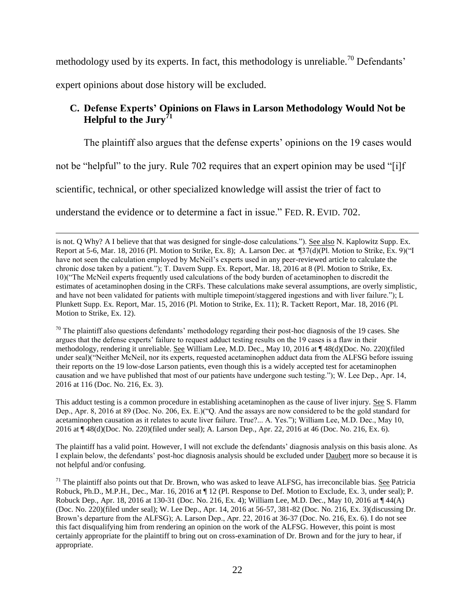methodology used by its experts. In fact, this methodology is unreliable.<sup>70</sup> Defendants'

expert opinions about dose history will be excluded.

 $\overline{a}$ 

# **C. Defense Experts' Opinions on Flaws in Larson Methodology Would Not be Helpful to the Jury<sup>71</sup>**

The plaintiff also argues that the defense experts' opinions on the 19 cases would

not be "helpful" to the jury. Rule 702 requires that an expert opinion may be used "[i]f

scientific, technical, or other specialized knowledge will assist the trier of fact to

understand the evidence or to determine a fact in issue." FED. R. EVID. 702.

 $70$  The plaintiff also questions defendants' methodology regarding their post-hoc diagnosis of the 19 cases. She argues that the defense experts' failure to request adduct testing results on the 19 cases is a flaw in their methodology, rendering it unreliable. See William Lee, M.D. Dec., May 10, 2016 at ¶ 48(d)(Doc. No. 220)(filed under seal)("Neither McNeil, nor its experts, requested acetaminophen adduct data from the ALFSG before issuing their reports on the 19 low-dose Larson patients, even though this is a widely accepted test for acetaminophen causation and we have published that most of our patients have undergone such testing."); W. Lee Dep., Apr. 14, 2016 at 116 (Doc. No. 216, Ex. 3).

This adduct testing is a common procedure in establishing acetaminophen as the cause of liver injury. See S. Flamm Dep., Apr. 8, 2016 at 89 (Doc. No. 206, Ex. E.)("Q. And the assays are now considered to be the gold standard for acetaminophen causation as it relates to acute liver failure. True?... A. Yes."); William Lee, M.D. Dec., May 10, 2016 at ¶ 48(d)(Doc. No. 220)(filed under seal); A. Larson Dep., Apr. 22, 2016 at 46 (Doc. No. 216, Ex. 6).

The plaintiff has a valid point. However, I will not exclude the defendants' diagnosis analysis on this basis alone. As I explain below, the defendants' post-hoc diagnosis analysis should be excluded under Daubert more so because it is not helpful and/or confusing.

is not. Q Why? A I believe that that was designed for single-dose calculations."). See also N. Kaplowitz Supp. Ex. Report at 5-6, Mar. 18, 2016 (Pl. Motion to Strike, Ex. 8); A. Larson Dec. at ¶37(d)(Pl. Motion to Strike, Ex. 9)("I have not seen the calculation employed by McNeil's experts used in any peer-reviewed article to calculate the chronic dose taken by a patient."); T. Davern Supp. Ex. Report, Mar. 18, 2016 at 8 (Pl. Motion to Strike, Ex. 10)("The McNeil experts frequently used calculations of the body burden of acetaminophen to discredit the estimates of acetaminophen dosing in the CRFs. These calculations make several assumptions, are overly simplistic, and have not been validated for patients with multiple timepoint/staggered ingestions and with liver failure."); L Plunkett Supp. Ex. Report, Mar. 15, 2016 (Pl. Motion to Strike, Ex. 11); R. Tackett Report, Mar. 18, 2016 (Pl. Motion to Strike, Ex. 12).

 $71$  The plaintiff also points out that Dr. Brown, who was asked to leave ALFSG, has irreconcilable bias. See Patricia Robuck, Ph.D., M.P.H., Dec., Mar. 16, 2016 at ¶ 12 (Pl. Response to Def. Motion to Exclude, Ex. 3, under seal); P. Robuck Dep., Apr. 18, 2016 at 130-31 (Doc. No. 216, Ex. 4); William Lee, M.D. Dec., May 10, 2016 at ¶ 44(A) (Doc. No. 220)(filed under seal); W. Lee Dep., Apr. 14, 2016 at 56-57, 381-82 (Doc. No. 216, Ex. 3)(discussing Dr. Brown's departure from the ALFSG); A. Larson Dep., Apr. 22, 2016 at 36-37 (Doc. No. 216, Ex. 6). I do not see this fact disqualifying him from rendering an opinion on the work of the ALFSG. However, this point is most certainly appropriate for the plaintiff to bring out on cross-examination of Dr. Brown and for the jury to hear, if appropriate.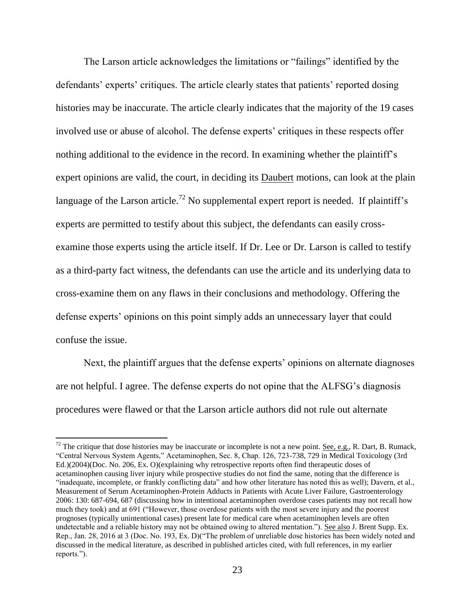The Larson article acknowledges the limitations or "failings" identified by the defendants' experts' critiques. The article clearly states that patients' reported dosing histories may be inaccurate. The article clearly indicates that the majority of the 19 cases involved use or abuse of alcohol. The defense experts' critiques in these respects offer nothing additional to the evidence in the record. In examining whether the plaintiff's expert opinions are valid, the court, in deciding its Daubert motions, can look at the plain language of the Larson article.<sup>72</sup> No supplemental expert report is needed. If plaintiff's experts are permitted to testify about this subject, the defendants can easily crossexamine those experts using the article itself. If Dr. Lee or Dr. Larson is called to testify as a third-party fact witness, the defendants can use the article and its underlying data to cross-examine them on any flaws in their conclusions and methodology. Offering the defense experts' opinions on this point simply adds an unnecessary layer that could confuse the issue.

Next, the plaintiff argues that the defense experts' opinions on alternate diagnoses are not helpful. I agree. The defense experts do not opine that the ALFSG's diagnosis procedures were flawed or that the Larson article authors did not rule out alternate

 $72$  The critique that dose histories may be inaccurate or incomplete is not a new point. See, e.g., R. Dart, B. Rumack, "Central Nervous System Agents," Acetaminophen, Sec. 8, Chap. 126, 723-738, 729 in Medical Toxicology (3rd Ed.)(2004)(Doc. No. 206, Ex. O)(explaining why retrospective reports often find therapeutic doses of acetaminophen causing liver injury while prospective studies do not find the same, noting that the difference is "inadequate, incomplete, or frankly conflicting data" and how other literature has noted this as well); Davern, et al., Measurement of Serum Acetaminophen-Protein Adducts in Patients with Acute Liver Failure, Gastroenterology 2006: 130: 687-694, 687 (discussing how in intentional acetaminophen overdose cases patients may not recall how much they took) and at 691 ("However, those overdose patients with the most severe injury and the poorest prognoses (typically unintentional cases) present late for medical care when acetaminophen levels are often undetectable and a reliable history may not be obtained owing to altered mentation."). See also J. Brent Supp. Ex. Rep., Jan. 28, 2016 at 3 (Doc. No. 193, Ex. D)("The problem of unreliable dose histories has been widely noted and discussed in the medical literature, as described in published articles cited, with full references, in my earlier reports.").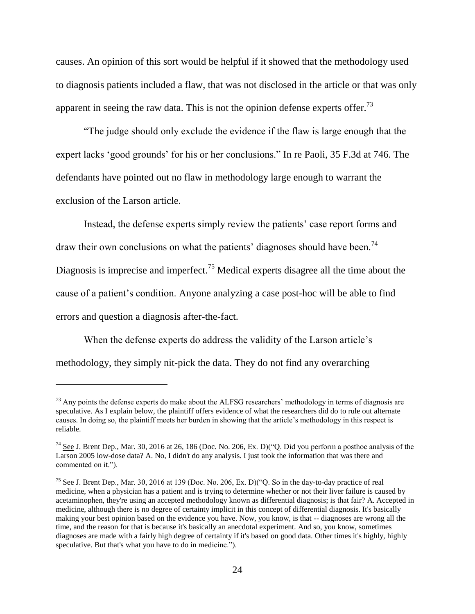causes. An opinion of this sort would be helpful if it showed that the methodology used to diagnosis patients included a flaw, that was not disclosed in the article or that was only apparent in seeing the raw data. This is not the opinion defense experts offer.<sup>73</sup>

"The judge should only exclude the evidence if the flaw is large enough that the expert lacks 'good grounds' for his or her conclusions." In re Paoli, 35 F.3d at 746. The defendants have pointed out no flaw in methodology large enough to warrant the exclusion of the Larson article.

Instead, the defense experts simply review the patients' case report forms and draw their own conclusions on what the patients' diagnoses should have been.<sup>74</sup> Diagnosis is imprecise and imperfect.<sup>75</sup> Medical experts disagree all the time about the cause of a patient's condition. Anyone analyzing a case post-hoc will be able to find errors and question a diagnosis after-the-fact.

When the defense experts do address the validity of the Larson article's methodology, they simply nit-pick the data. They do not find any overarching

 $73$  Any points the defense experts do make about the ALFSG researchers' methodology in terms of diagnosis are speculative. As I explain below, the plaintiff offers evidence of what the researchers did do to rule out alternate causes. In doing so, the plaintiff meets her burden in showing that the article's methodology in this respect is reliable.

 $^{74}$  See J. Brent Dep., Mar. 30, 2016 at 26, 186 (Doc. No. 206, Ex. D)("Q. Did you perform a posthoc analysis of the Larson 2005 low-dose data? A. No, I didn't do any analysis. I just took the information that was there and commented on it.").

<sup>&</sup>lt;sup>75</sup> See J. Brent Dep., Mar. 30, 2016 at 139 (Doc. No. 206, Ex. D)("Q. So in the day-to-day practice of real medicine, when a physician has a patient and is trying to determine whether or not their liver failure is caused by acetaminophen, they're using an accepted methodology known as differential diagnosis; is that fair? A. Accepted in medicine, although there is no degree of certainty implicit in this concept of differential diagnosis. It's basically making your best opinion based on the evidence you have. Now, you know, is that -- diagnoses are wrong all the time, and the reason for that is because it's basically an anecdotal experiment. And so, you know, sometimes diagnoses are made with a fairly high degree of certainty if it's based on good data. Other times it's highly, highly speculative. But that's what you have to do in medicine.").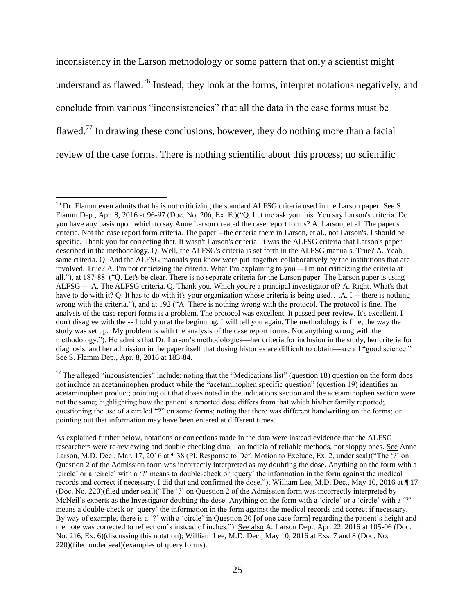inconsistency in the Larson methodology or some pattern that only a scientist might understand as flawed.<sup>76</sup> Instead, they look at the forms, interpret notations negatively, and conclude from various "inconsistencies" that all the data in the case forms must be flawed.<sup>77</sup> In drawing these conclusions, however, they do nothing more than a facial review of the case forms. There is nothing scientific about this process; no scientific

 $^{76}$  Dr. Flamm even admits that he is not criticizing the standard ALFSG criteria used in the Larson paper. See S. Flamm Dep., Apr. 8, 2016 at 96-97 (Doc. No. 206, Ex. E.)("Q. Let me ask you this. You say Larson's criteria. Do you have any basis upon which to say Anne Larson created the case report forms? A. Larson, et al. The paper's criteria. Not the case report form criteria. The paper --the criteria there in Larson, et al., not Larson's. I should be specific. Thank you for correcting that. It wasn't Larson's criteria. It was the ALFSG criteria that Larson's paper described in the methodology. Q. Well, the ALFSG's criteria is set forth in the ALFSG manuals. True? A. Yeah, same criteria. Q. And the ALFSG manuals you know were put together collaboratively by the institutions that are involved. True? A. I'm not criticizing the criteria. What I'm explaining to you -- I'm not criticizing the criteria at all."), at 187-88 ("Q. Let's be clear. There is no separate criteria for the Larson paper. The Larson paper is using ALFSG -- A. The ALFSG criteria. Q. Thank you. Which you're a principal investigator of? A. Right. What's that have to do with it? Q. It has to do with it's your organization whose criteria is being used....A. I -- there is nothing wrong with the criteria."), and at 192 ("A. There is nothing wrong with the protocol. The protocol is fine. The analysis of the case report forms is a problem. The protocol was excellent. It passed peer review. It's excellent. I don't disagree with the -- I told you at the beginning. I will tell you again. The methodology is fine, the way the study was set up. My problem is with the analysis of the case report forms. Not anything wrong with the methodology."). He admits that Dr. Larson's methodologies—her criteria for inclusion in the study, her criteria for diagnosis, and her admission in the paper itself that dosing histories are difficult to obtain—are all "good science." See S. Flamm Dep., Apr. 8, 2016 at 183-84.

 $77$  The alleged "inconsistencies" include: noting that the "Medications list" (question 18) question on the form does not include an acetaminophen product while the "acetaminophen specific question" (question 19) identifies an acetaminophen product; pointing out that doses noted in the indications section and the acetaminophen section were not the same; highlighting how the patient's reported dose differs from that which his/her family reported; questioning the use of a circled "?" on some forms; noting that there was different handwriting on the forms; or pointing out that information may have been entered at different times.

As explained further below, notations or corrections made in the data were instead evidence that the ALFSG researchers were re-reviewing and double checking data—an indicia of reliable methods, not sloppy ones. See Anne Larson, M.D. Dec., Mar. 17, 2016 at ¶ 38 (Pl. Response to Def. Motion to Exclude, Ex. 2, under seal)("The '?' on Question 2 of the Admission form was incorrectly interpreted as my doubting the dose. Anything on the form with a 'circle' or a 'circle' with a '?' means to double-check or 'query' the information in the form against the medical records and correct if necessary. I did that and confirmed the dose."); William Lee, M.D. Dec., May 10, 2016 at ¶ 17 (Doc. No. 220)(filed under seal)("The '?' on Question 2 of the Admission form was incorrectly interpreted by McNeil's experts as the Investigator doubting the dose. Anything on the form with a 'circle' or a 'circle' with a '?' means a double-check or 'query' the information in the form against the medical records and correct if necessary. By way of example, there is a '?' with a 'circle' in Question 20 [of one case form] regarding the patient's height and the note was corrected to reflect cm's instead of inches."). See also A. Larson Dep., Apr. 22, 2016 at 105-06 (Doc. No. 216, Ex. 6)(discussing this notation); William Lee, M.D. Dec., May 10, 2016 at Exs. 7 and 8 (Doc. No. 220)(filed under seal)(examples of query forms).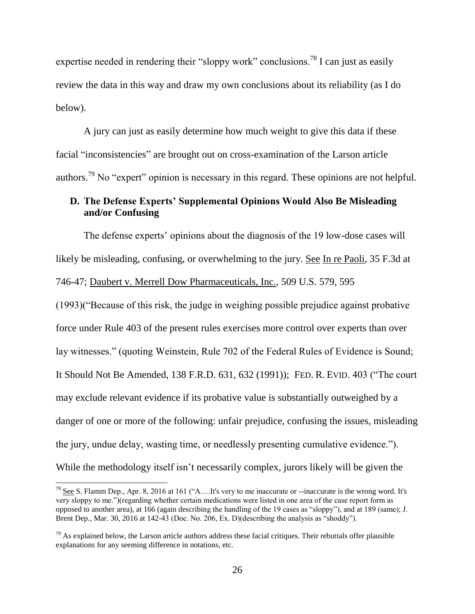expertise needed in rendering their "sloppy work" conclusions.<sup>78</sup> I can just as easily review the data in this way and draw my own conclusions about its reliability (as I do below).

A jury can just as easily determine how much weight to give this data if these facial "inconsistencies" are brought out on cross-examination of the Larson article authors.<sup>79</sup> No "expert" opinion is necessary in this regard. These opinions are not helpful.

# **D. The Defense Experts' Supplemental Opinions Would Also Be Misleading and/or Confusing**

The defense experts' opinions about the diagnosis of the 19 low-dose cases will likely be misleading, confusing, or overwhelming to the jury. See In re Paoli, 35 F.3d at 746-47; Daubert v. Merrell Dow Pharmaceuticals, Inc., 509 U.S. 579, 595

(1993)("Because of this risk, the judge in weighing possible prejudice against probative force under Rule 403 of the present rules exercises more control over experts than over lay witnesses." (quoting Weinstein, Rule 702 of the Federal Rules of Evidence is Sound; It Should Not Be Amended, 138 F.R.D. 631, 632 (1991)); FED. R. EVID. 403 ("The court may exclude relevant evidence if its probative value is substantially outweighed by a danger of one or more of the following: unfair prejudice, confusing the issues, misleading the jury, undue delay, wasting time, or needlessly presenting cumulative evidence."). While the methodology itself isn't necessarily complex, jurors likely will be given the

 $\overline{a}$ 

 $^{78}$  See S. Flamm Dep., Apr. 8, 2016 at 161 ("A....It's very to me inaccurate or --inaccurate is the wrong word. It's very sloppy to me.")(regarding whether certain medications were listed in one area of the case report form as opposed to another area), at 166 (again describing the handling of the 19 cases as "sloppy"), and at 189 (same); J. Brent Dep., Mar. 30, 2016 at 142-43 (Doc. No. 206, Ex. D)(describing the analysis as "shoddy").

 $79$  As explained below, the Larson article authors address these facial critiques. Their rebuttals offer plausible explanations for any seeming difference in notations, etc.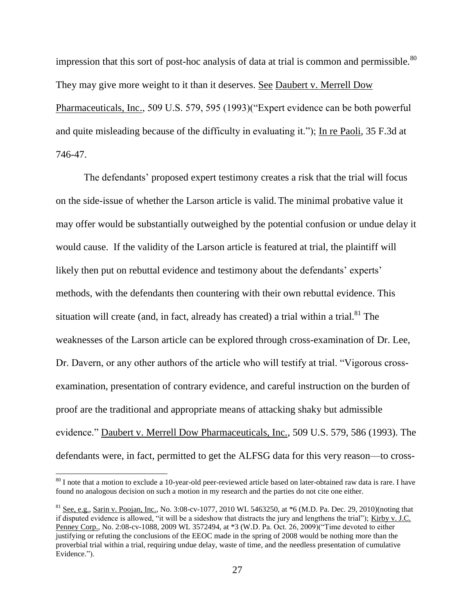impression that this sort of post-hoc analysis of data at trial is common and permissible.<sup>80</sup> They may give more weight to it than it deserves. See Daubert v. Merrell Dow Pharmaceuticals, Inc., 509 U.S. 579, 595 (1993)("Expert evidence can be both powerful and quite misleading because of the difficulty in evaluating it."); In re Paoli, 35 F.3d at 746-47.

The defendants' proposed expert testimony creates a risk that the trial will focus on the side-issue of whether the Larson article is valid. The minimal probative value it may offer would be substantially outweighed by the potential confusion or undue delay it would cause. If the validity of the Larson article is featured at trial, the plaintiff will likely then put on rebuttal evidence and testimony about the defendants' experts' methods, with the defendants then countering with their own rebuttal evidence. This situation will create (and, in fact, already has created) a trial within a trial.<sup>81</sup> The weaknesses of the Larson article can be explored through cross-examination of Dr. Lee, Dr. Davern, or any other authors of the article who will testify at trial. "Vigorous crossexamination, presentation of contrary evidence, and careful instruction on the burden of proof are the traditional and appropriate means of attacking shaky but admissible evidence." Daubert v. Merrell Dow Pharmaceuticals, Inc., 509 U.S. 579, 586 (1993). The defendants were, in fact, permitted to get the ALFSG data for this very reason—to cross-

 $80$  I note that a motion to exclude a 10-year-old peer-reviewed article based on later-obtained raw data is rare. I have found no analogous decision on such a motion in my research and the parties do not cite one either.

 $81$  See, e.g., Sarin v. Poojan, Inc., No. 3:08-cv-1077, 2010 WL 5463250, at  $*6$  (M.D. Pa. Dec. 29, 2010)(noting that if disputed evidence is allowed, "it will be a sideshow that distracts the jury and lengthens the trial"); Kirby v. J.C. Penney Corp., No. 2:08-cv-1088, 2009 WL 3572494, at \*3 (W.D. Pa. Oct. 26, 2009)("Time devoted to either justifying or refuting the conclusions of the EEOC made in the spring of 2008 would be nothing more than the proverbial trial within a trial, requiring undue delay, waste of time, and the needless presentation of cumulative Evidence.").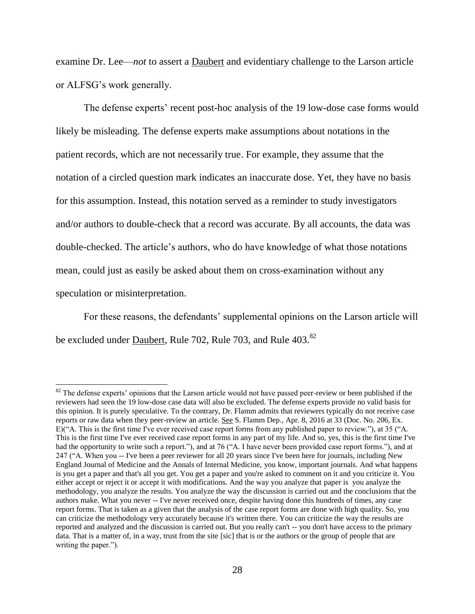examine Dr. Lee—*not* to assert a Daubert and evidentiary challenge to the Larson article or ALFSG's work generally.

The defense experts' recent post-hoc analysis of the 19 low-dose case forms would likely be misleading. The defense experts make assumptions about notations in the patient records, which are not necessarily true. For example, they assume that the notation of a circled question mark indicates an inaccurate dose. Yet, they have no basis for this assumption. Instead, this notation served as a reminder to study investigators and/or authors to double-check that a record was accurate. By all accounts, the data was double-checked. The article's authors, who do have knowledge of what those notations mean, could just as easily be asked about them on cross-examination without any speculation or misinterpretation.

For these reasons, the defendants' supplemental opinions on the Larson article will be excluded under <u>Daubert</u>, Rule 702, Rule 703, and Rule 403.<sup>82</sup>

<sup>&</sup>lt;sup>82</sup> The defense experts' opinions that the Larson article would not have passed peer-review or been published if the reviewers had seen the 19 low-dose case data will also be excluded. The defense experts provide no valid basis for this opinion. It is purely speculative. To the contrary, Dr. Flamm admits that reviewers typically do not receive case reports or raw data when they peer-review an article. See S. Flamm Dep., Apr. 8, 2016 at 33 (Doc. No. 206, Ex. E)("A. This is the first time I've ever received case report forms from any published paper to review."), at 35 ("A. This is the first time I've ever received case report forms in any part of my life. And so, yes, this is the first time I've had the opportunity to write such a report."), and at 76 ("A. I have never been provided case report forms."), and at 247 ("A. When you -- I've been a peer reviewer for all 20 years since I've been here for journals, including New England Journal of Medicine and the Annals of Internal Medicine, you know, important journals. And what happens is you get a paper and that's all you get. You get a paper and you're asked to comment on it and you criticize it. You either accept or reject it or accept it with modifications. And the way you analyze that paper is you analyze the methodology, you analyze the results. You analyze the way the discussion is carried out and the conclusions that the authors make. What you never -- I've never received once, despite having done this hundreds of times, any case report forms. That is taken as a given that the analysis of the case report forms are done with high quality. So, you can criticize the methodology very accurately because it's written there. You can criticize the way the results are reported and analyzed and the discussion is carried out. But you really can't -- you don't have access to the primary data. That is a matter of, in a way, trust from the site [sic] that is or the authors or the group of people that are writing the paper.").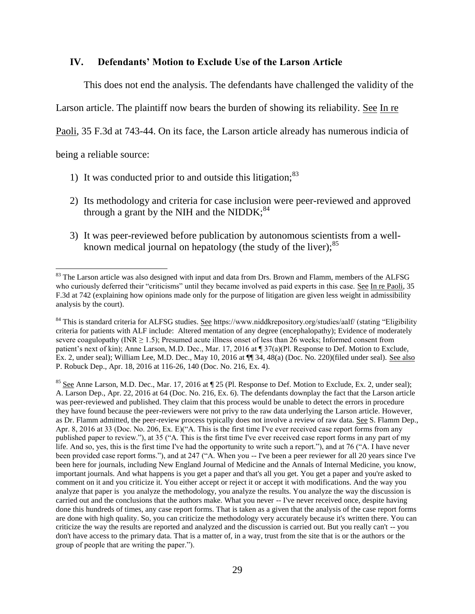#### **IV. Defendants' Motion to Exclude Use of the Larson Article**

This does not end the analysis. The defendants have challenged the validity of the

Larson article. The plaintiff now bears the burden of showing its reliability. See In re

Paoli, 35 F.3d at 743-44. On its face, the Larson article already has numerous indicia of

being a reliable source:

 $\overline{a}$ 

- 1) It was conducted prior to and outside this litigation;  $83$
- 2) Its methodology and criteria for case inclusion were peer-reviewed and approved through a grant by the NIH and the NIDDK; $^{84}$
- 3) It was peer-reviewed before publication by autonomous scientists from a wellknown medical journal on hepatology (the study of the liver);<sup>85</sup>

<sup>&</sup>lt;sup>83</sup> The Larson article was also designed with input and data from Drs. Brown and Flamm, members of the ALFSG who curiously deferred their "criticisms" until they became involved as paid experts in this case. See In re Paoli, 35 F.3d at 742 (explaining how opinions made only for the purpose of litigation are given less weight in admissibility analysis by the court).

<sup>&</sup>lt;sup>84</sup> This is standard criteria for ALFSG studies. See https://www.niddkrepository.org/studies/aalf/ (stating "Eligibility criteria for patients with ALF include: Altered mentation of any degree (encephalopathy); Evidence of moderately severe coagulopathy (INR  $\geq$  1.5); Presumed acute illness onset of less than 26 weeks; Informed consent from patient's next of kin); Anne Larson, M.D. Dec., Mar. 17, 2016 at  $\P$  37(a)(Pl. Response to Def. Motion to Exclude, Ex. 2, under seal); William Lee, M.D. Dec., May 10, 2016 at ¶¶ 34, 48(a) (Doc. No. 220)(filed under seal). See also P. Robuck Dep., Apr. 18, 2016 at 116-26, 140 (Doc. No. 216, Ex. 4).

 $85$  See Anne Larson, M.D. Dec., Mar. 17, 2016 at  $\P$  25 (Pl. Response to Def. Motion to Exclude, Ex. 2, under seal); A. Larson Dep., Apr. 22, 2016 at 64 (Doc. No. 216, Ex. 6). The defendants downplay the fact that the Larson article was peer-reviewed and published. They claim that this process would be unable to detect the errors in procedure they have found because the peer-reviewers were not privy to the raw data underlying the Larson article. However, as Dr. Flamm admitted, the peer-review process typically does not involve a review of raw data. See S. Flamm Dep., Apr. 8, 2016 at 33 (Doc. No. 206, Ex. E)("A. This is the first time I've ever received case report forms from any published paper to review."), at 35 ("A. This is the first time I've ever received case report forms in any part of my life. And so, yes, this is the first time I've had the opportunity to write such a report."), and at 76 ("A. I have never been provided case report forms."), and at 247 ("A. When you -- I've been a peer reviewer for all 20 years since I've been here for journals, including New England Journal of Medicine and the Annals of Internal Medicine, you know, important journals. And what happens is you get a paper and that's all you get. You get a paper and you're asked to comment on it and you criticize it. You either accept or reject it or accept it with modifications. And the way you analyze that paper is you analyze the methodology, you analyze the results. You analyze the way the discussion is carried out and the conclusions that the authors make. What you never -- I've never received once, despite having done this hundreds of times, any case report forms. That is taken as a given that the analysis of the case report forms are done with high quality. So, you can criticize the methodology very accurately because it's written there. You can criticize the way the results are reported and analyzed and the discussion is carried out. But you really can't -- you don't have access to the primary data. That is a matter of, in a way, trust from the site that is or the authors or the group of people that are writing the paper.").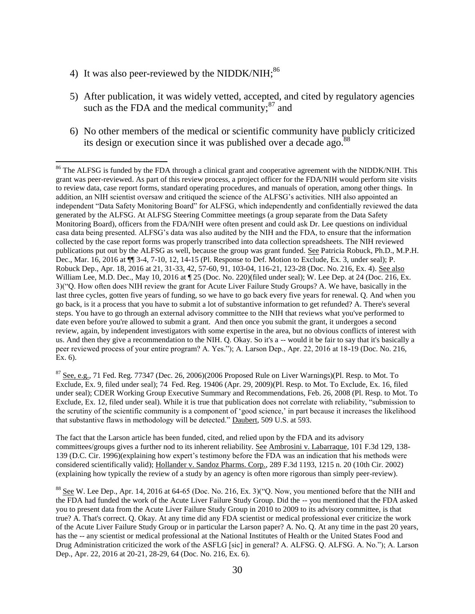4) It was also peer-reviewed by the NIDDK/NIH; $^{86}$ 

 $\overline{\phantom{a}}$ 

- 5) After publication, it was widely vetted, accepted, and cited by regulatory agencies such as the FDA and the medical community; $^{87}$  and
- 6) No other members of the medical or scientific community have publicly criticized its design or execution since it was published over a decade ago.<sup>88</sup>

 $87$  See, e.g., 71 Fed. Reg. 77347 (Dec. 26, 2006)(2006 Proposed Rule on Liver Warnings)(Pl. Resp. to Mot. To Exclude, Ex. 9, filed under seal); 74 Fed. Reg. 19406 (Apr. 29, 2009)(Pl. Resp. to Mot. To Exclude, Ex. 16, filed under seal); CDER Working Group Executive Summary and Recommendations, Feb. 26, 2008 (Pl. Resp. to Mot. To Exclude, Ex. 12, filed under seal). While it is true that publication does not correlate with reliability, "submission to the scrutiny of the scientific community is a component of 'good science,' in part because it increases the likelihood that substantive flaws in methodology will be detected." Daubert, 509 U.S. at 593.

The fact that the Larson article has been funded, cited, and relied upon by the FDA and its advisory committees/groups gives a further nod to its inherent reliability. See Ambrosini v. Labarraque, 101 F.3d 129, 138-139 (D.C. Cir. 1996)(explaining how expert's testimony before the FDA was an indication that his methods were considered scientifically valid); Hollander v. Sandoz Pharms. Corp., 289 F.3d 1193, 1215 n. 20 (10th Cir. 2002) (explaining how typically the review of a study by an agency is often more rigorous than simply peer-review).

<sup>88</sup> See W. Lee Dep., Apr. 14, 2016 at 64-65 (Doc. No. 216, Ex. 3)("Q. Now, you mentioned before that the NIH and the FDA had funded the work of the Acute Liver Failure Study Group. Did the -- you mentioned that the FDA asked you to present data from the Acute Liver Failure Study Group in 2010 to 2009 to its advisory committee, is that true? A. That's correct. Q. Okay. At any time did any FDA scientist or medical professional ever criticize the work of the Acute Liver Failure Study Group or in particular the Larson paper? A. No. Q. At any time in the past 20 years, has the -- any scientist or medical professional at the National Institutes of Health or the United States Food and Drug Administration criticized the work of the ASFLG [sic] in general? A. ALFSG. Q. ALFSG. A. No."); A. Larson Dep., Apr. 22, 2016 at 20-21, 28-29, 64 (Doc. No. 216, Ex. 6).

<sup>&</sup>lt;sup>86</sup> The ALFSG is funded by the FDA through a clinical grant and cooperative agreement with the NIDDK/NIH. This grant was peer-reviewed. As part of this review process, a project officer for the FDA/NIH would perform site visits to review data, case report forms, standard operating procedures, and manuals of operation, among other things. In addition, an NIH scientist oversaw and critiqued the science of the ALFSG's activities. NIH also appointed an independent "Data Safety Monitoring Board" for ALFSG, which independently and confidentially reviewed the data generated by the ALFSG. At ALFSG Steering Committee meetings (a group separate from the Data Safety Monitoring Board), officers from the FDA/NIH were often present and could ask Dr. Lee questions on individual casa data being presented. ALFSG's data was also audited by the NIH and the FDA, to ensure that the information collected by the case report forms was properly transcribed into data collection spreadsheets. The NIH reviewed publications put out by the ALFSG as well, because the group was grant funded. See Patricia Robuck, Ph.D., M.P.H. Dec., Mar. 16, 2016 at ¶¶ 3-4, 7-10, 12, 14-15 (Pl. Response to Def. Motion to Exclude, Ex. 3, under seal); P. Robuck Dep., Apr. 18, 2016 at 21, 31-33, 42, 57-60, 91, 103-04, 116-21, 123-28 (Doc. No. 216, Ex. 4). See also William Lee, M.D. Dec., May 10, 2016 at  $\P$  25 (Doc. No. 220)(filed under seal); W. Lee Dep. at 24 (Doc. 216, Ex. 3)("Q. How often does NIH review the grant for Acute Liver Failure Study Groups? A. We have, basically in the last three cycles, gotten five years of funding, so we have to go back every five years for renewal. Q. And when you go back, is it a process that you have to submit a lot of substantive information to get refunded? A. There's several steps. You have to go through an external advisory committee to the NIH that reviews what you've performed to date even before you're allowed to submit a grant. And then once you submit the grant, it undergoes a second review, again, by independent investigators with some expertise in the area, but no obvious conflicts of interest with us. And then they give a recommendation to the NIH. Q. Okay. So it's a -- would it be fair to say that it's basically a peer reviewed process of your entire program? A. Yes."); A. Larson Dep., Apr. 22, 2016 at 18-19 (Doc. No. 216, Ex. 6).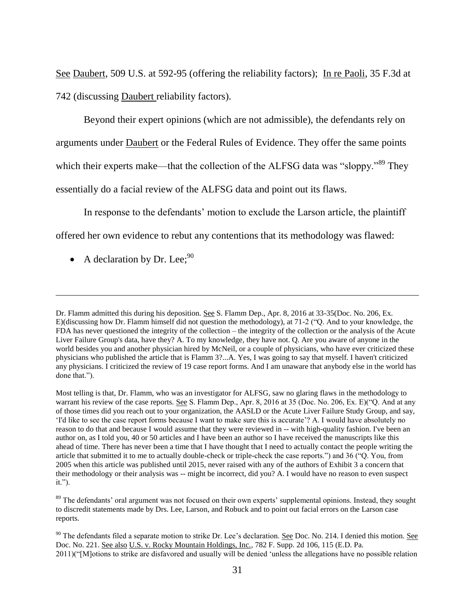See Daubert, 509 U.S. at 592-95 (offering the reliability factors); In re Paoli, 35 F.3d at 742 (discussing Daubert reliability factors).

Beyond their expert opinions (which are not admissible), the defendants rely on arguments under Daubert or the Federal Rules of Evidence. They offer the same points which their experts make—that the collection of the ALFSG data was "sloppy."<sup>89</sup> They essentially do a facial review of the ALFSG data and point out its flaws.

In response to the defendants' motion to exclude the Larson article, the plaintiff offered her own evidence to rebut any contentions that its methodology was flawed:

• A declaration by Dr. Lee;  $90$ 

Dr. Flamm admitted this during his deposition. See S. Flamm Dep., Apr. 8, 2016 at 33-35(Doc. No. 206, Ex. E)(discussing how Dr. Flamm himself did not question the methodology), at 71-2 ("Q. And to your knowledge, the FDA has never questioned the integrity of the collection – the integrity of the collection or the analysis of the Acute Liver Failure Group's data, have they? A. To my knowledge, they have not. Q. Are you aware of anyone in the world besides you and another physician hired by McNeil, or a couple of physicians, who have ever criticized these physicians who published the article that is Flamm 3?...A. Yes, I was going to say that myself. I haven't criticized any physicians. I criticized the review of 19 case report forms. And I am unaware that anybody else in the world has done that.").

Most telling is that, Dr. Flamm, who was an investigator for ALFSG, saw no glaring flaws in the methodology to warrant his review of the case reports. See S. Flamm Dep., Apr. 8, 2016 at 35 (Doc. No. 206, Ex. E)("Q. And at any of those times did you reach out to your organization, the AASLD or the Acute Liver Failure Study Group, and say, 'I'd like to see the case report forms because I want to make sure this is accurate'? A. I would have absolutely no reason to do that and because I would assume that they were reviewed in -- with high-quality fashion. I've been an author on, as I told you, 40 or 50 articles and I have been an author so I have received the manuscripts like this ahead of time. There has never been a time that I have thought that I need to actually contact the people writing the article that submitted it to me to actually double-check or triple-check the case reports.") and 36 ("Q. You, from 2005 when this article was published until 2015, never raised with any of the authors of Exhibit 3 a concern that their methodology or their analysis was -- might be incorrect, did you? A. I would have no reason to even suspect it.").

<sup>&</sup>lt;sup>89</sup> The defendants' oral argument was not focused on their own experts' supplemental opinions. Instead, they sought to discredit statements made by Drs. Lee, Larson, and Robuck and to point out facial errors on the Larson case reports.

 $90$  The defendants filed a separate motion to strike Dr. Lee's declaration. See Doc. No. 214. I denied this motion. See Doc. No. 221. See also U.S. v. Rocky Mountain Holdings, Inc., 782 F. Supp. 2d 106, 115 (E.D. Pa. 2011)("[M]otions to strike are disfavored and usually will be denied 'unless the allegations have no possible relation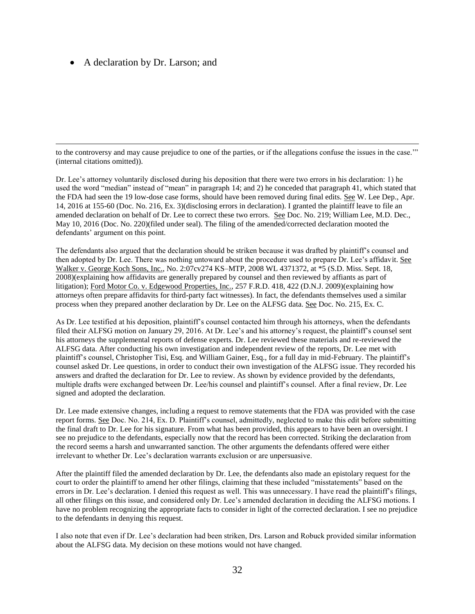#### • A declaration by Dr. Larson; and

 $\overline{\phantom{a}}$ 

to the controversy and may cause prejudice to one of the parties, or if the allegations confuse the issues in the case.'" (internal citations omitted)).

Dr. Lee's attorney voluntarily disclosed during his deposition that there were two errors in his declaration: 1) he used the word "median" instead of "mean" in paragraph 14; and 2) he conceded that paragraph 41, which stated that the FDA had seen the 19 low-dose case forms, should have been removed during final edits. See W. Lee Dep., Apr. 14, 2016 at 155-60 (Doc. No. 216, Ex. 3)(disclosing errors in declaration). I granted the plaintiff leave to file an amended declaration on behalf of Dr. Lee to correct these two errors. See Doc. No. 219; William Lee, M.D. Dec., May 10, 2016 (Doc. No. 220)(filed under seal). The filing of the amended/corrected declaration mooted the defendants' argument on this point.

The defendants also argued that the declaration should be striken because it was drafted by plaintiff's counsel and then adopted by Dr. Lee. There was nothing untoward about the procedure used to prepare Dr. Lee's affidavit. See Walker v. George Koch Sons, Inc., No. 2:07cv274 KS–MTP, 2008 WL 4371372, at \*5 (S.D. Miss. Sept. 18, 2008)(explaining how affidavits are generally prepared by counsel and then reviewed by affiants as part of litigation); Ford Motor Co. v. Edgewood Properties, Inc., 257 F.R.D. 418, 422 (D.N.J. 2009)(explaining how attorneys often prepare affidavits for third-party fact witnesses). In fact, the defendants themselves used a similar process when they prepared another declaration by Dr. Lee on the ALFSG data. See Doc. No. 215, Ex. C.

As Dr. Lee testified at his deposition, plaintiff's counsel contacted him through his attorneys, when the defendants filed their ALFSG motion on January 29, 2016. At Dr. Lee's and his attorney's request, the plaintiff's counsel sent his attorneys the supplemental reports of defense experts. Dr. Lee reviewed these materials and re-reviewed the ALFSG data. After conducting his own investigation and independent review of the reports, Dr. Lee met with plaintiff's counsel, Christopher Tisi, Esq. and William Gainer, Esq., for a full day in mid-February. The plaintiff's counsel asked Dr. Lee questions, in order to conduct their own investigation of the ALFSG issue. They recorded his answers and drafted the declaration for Dr. Lee to review. As shown by evidence provided by the defendants, multiple drafts were exchanged between Dr. Lee/his counsel and plaintiff's counsel. After a final review, Dr. Lee signed and adopted the declaration.

Dr. Lee made extensive changes, including a request to remove statements that the FDA was provided with the case report forms. See Doc. No. 214, Ex. D. Plaintiff's counsel, admittedly, neglected to make this edit before submitting the final draft to Dr. Lee for his signature. From what has been provided, this appears to have been an oversight. I see no prejudice to the defendants, especially now that the record has been corrected. Striking the declaration from the record seems a harsh and unwarranted sanction. The other arguments the defendants offered were either irrelevant to whether Dr. Lee's declaration warrants exclusion or are unpersuasive.

After the plaintiff filed the amended declaration by Dr. Lee, the defendants also made an epistolary request for the court to order the plaintiff to amend her other filings, claiming that these included "misstatements" based on the errors in Dr. Lee's declaration. I denied this request as well. This was unnecessary. I have read the plaintiff's filings, all other filings on this issue, and considered only Dr. Lee's amended declaration in deciding the ALFSG motions. I have no problem recognizing the appropriate facts to consider in light of the corrected declaration. I see no prejudice to the defendants in denying this request.

I also note that even if Dr. Lee's declaration had been striken, Drs. Larson and Robuck provided similar information about the ALFSG data. My decision on these motions would not have changed.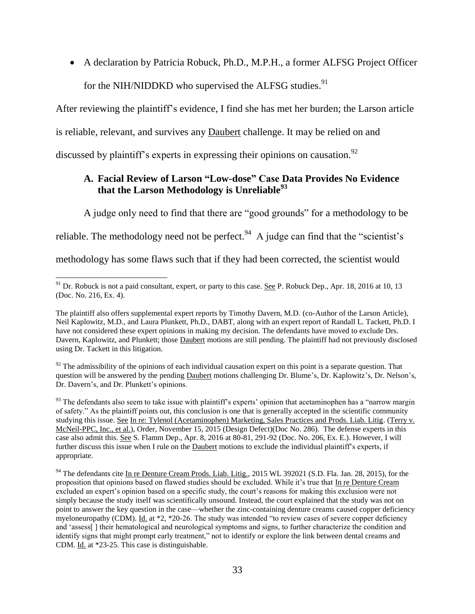A declaration by Patricia Robuck, Ph.D., M.P.H., a former ALFSG Project Officer for the NIH/NIDDKD who supervised the ALFSG studies.<sup>91</sup>

After reviewing the plaintiff's evidence, I find she has met her burden; the Larson article is reliable, relevant, and survives any Daubert challenge. It may be relied on and discussed by plaintiff's experts in expressing their opinions on causation.<sup>92</sup>

# **A. Facial Review of Larson "Low-dose" Case Data Provides No Evidence that the Larson Methodology is Unreliable<sup>93</sup>**

A judge only need to find that there are "good grounds" for a methodology to be

reliable. The methodology need not be perfect.<sup>94</sup> A judge can find that the "scientist's

methodology has some flaws such that if they had been corrected, the scientist would

 $92$  The admissibility of the opinions of each individual causation expert on this point is a separate question. That question will be answered by the pending Daubert motions challenging Dr. Blume's, Dr. Kaplowitz's, Dr. Nelson's, Dr. Davern's, and Dr. Plunkett's opinions.

<sup>93</sup> The defendants also seem to take issue with plaintiff's experts' opinion that acetaminophen has a "narrow margin of safety." As the plaintiff points out, this conclusion is one that is generally accepted in the scientific community studying this issue. See In re: Tylenol (Acetaminophen) Marketing, Sales Practices and Prods. Liab. Litig. (Terry v. McNeil-PPC, Inc., et al.), Order, November 15, 2015 (Design Defect)(Doc No. 286). The defense experts in this case also admit this. See S. Flamm Dep., Apr. 8, 2016 at 80-81, 291-92 (Doc. No. 206, Ex. E.). However, I will further discuss this issue when I rule on the Daubert motions to exclude the individual plaintiff's experts, if appropriate.

 $\overline{\phantom{a}}$  $91$  Dr. Robuck is not a paid consultant, expert, or party to this case. See P. Robuck Dep., Apr. 18, 2016 at 10, 13 (Doc. No. 216, Ex. 4).

The plaintiff also offers supplemental expert reports by Timothy Davern, M.D. (co-Author of the Larson Article), Neil Kaplowitz, M.D., and Laura Plunkett, Ph.D., DABT, along with an expert report of Randall L. Tackett, Ph.D. I have not considered these expert opinions in making my decision. The defendants have moved to exclude Drs. Davern, Kaplowitz, and Plunkett; those Daubert motions are still pending. The plaintiff had not previously disclosed using Dr. Tackett in this litigation.

<sup>&</sup>lt;sup>94</sup> The defendants cite In re Denture Cream Prods. Liab. Litig., 2015 WL 392021 (S.D. Fla. Jan. 28, 2015), for the proposition that opinions based on flawed studies should be excluded. While it's true that In re Denture Cream excluded an expert's opinion based on a specific study, the court's reasons for making this exclusion were not simply because the study itself was scientifically unsound. Instead, the court explained that the study was not on point to answer the key question in the case—whether the zinc-containing denture creams caused copper deficiency myeloneuropathy (CDM). Id. at \*2, \*20-26. The study was intended "to review cases of severe copper deficiency and 'assess[ ] their hematological and neurological symptoms and signs, to further characterize the condition and identify signs that might prompt early treatment," not to identify or explore the link between dental creams and CDM. Id. at \*23-25. This case is distinguishable.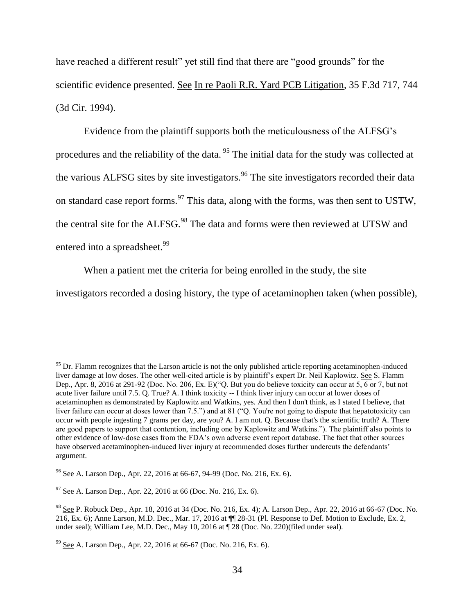have reached a different result" yet still find that there are "good grounds" for the scientific evidence presented. See In re Paoli R.R. Yard PCB Litigation, 35 F.3d 717, 744 (3d Cir. 1994).

Evidence from the plaintiff supports both the meticulousness of the ALFSG's procedures and the reliability of the data. <sup>95</sup> The initial data for the study was collected at the various ALFSG sites by site investigators.<sup>96</sup> The site investigators recorded their data on standard case report forms.<sup>97</sup> This data, along with the forms, was then sent to USTW, the central site for the ALFSG.<sup>98</sup> The data and forms were then reviewed at UTSW and entered into a spreadsheet.<sup>99</sup>

When a patient met the criteria for being enrolled in the study, the site

investigators recorded a dosing history, the type of acetaminophen taken (when possible),

 $95$  Dr. Flamm recognizes that the Larson article is not the only published article reporting acetaminophen-induced liver damage at low doses. The other well-cited article is by plaintiff's expert Dr. Neil Kaplowitz. See S. Flamm Dep., Apr. 8, 2016 at 291-92 (Doc. No. 206, Ex. E)("Q. But you do believe toxicity can occur at  $5, 6$  or 7, but not acute liver failure until 7.5. Q. True? A. I think toxicity -- I think liver injury can occur at lower doses of acetaminophen as demonstrated by Kaplowitz and Watkins, yes. And then I don't think, as I stated I believe, that liver failure can occur at doses lower than 7.5.") and at 81 ("Q. You're not going to dispute that hepatotoxicity can occur with people ingesting 7 grams per day, are you? A. I am not. Q. Because that's the scientific truth? A. There are good papers to support that contention, including one by Kaplowitz and Watkins."). The plaintiff also points to other evidence of low-dose cases from the FDA's own adverse event report database. The fact that other sources have observed acetaminophen-induced liver injury at recommended doses further undercuts the defendants' argument.

<sup>&</sup>lt;sup>96</sup> See A. Larson Dep., Apr. 22, 2016 at 66-67, 94-99 (Doc. No. 216, Ex. 6).

 $97$  See A. Larson Dep., Apr. 22, 2016 at 66 (Doc. No. 216, Ex. 6).

<sup>98</sup> See P. Robuck Dep., Apr. 18, 2016 at 34 (Doc. No. 216, Ex. 4); A. Larson Dep., Apr. 22, 2016 at 66-67 (Doc. No. 216, Ex. 6); Anne Larson, M.D. Dec., Mar. 17, 2016 at ¶¶ 28-31 (Pl. Response to Def. Motion to Exclude, Ex. 2, under seal); William Lee, M.D. Dec., May 10, 2016 at ¶ 28 (Doc. No. 220)(filed under seal).

 $99$  See A. Larson Dep., Apr. 22, 2016 at 66-67 (Doc. No. 216, Ex. 6).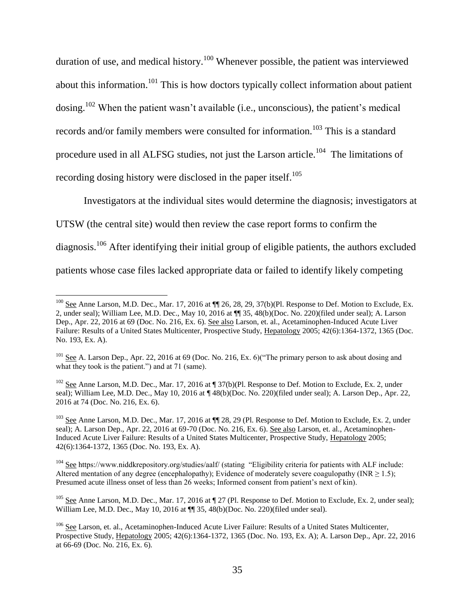duration of use, and medical history.<sup>100</sup> Whenever possible, the patient was interviewed about this information.<sup>101</sup> This is how doctors typically collect information about patient dosing.<sup>102</sup> When the patient wasn't available (i.e., unconscious), the patient's medical records and/or family members were consulted for information.<sup>103</sup> This is a standard procedure used in all ALFSG studies, not just the Larson article.<sup>104</sup> The limitations of recording dosing history were disclosed in the paper itself.<sup>105</sup>

Investigators at the individual sites would determine the diagnosis; investigators at UTSW (the central site) would then review the case report forms to confirm the diagnosis.<sup>106</sup> After identifying their initial group of eligible patients, the authors excluded patients whose case files lacked appropriate data or failed to identify likely competing

 $^{100}$  See Anne Larson, M.D. Dec., Mar. 17, 2016 at  $\P$  26, 28, 29, 37(b)(Pl. Response to Def. Motion to Exclude, Ex. 2, under seal); William Lee, M.D. Dec., May 10, 2016 at ¶¶ 35, 48(b)(Doc. No. 220)(filed under seal); A. Larson Dep., Apr. 22, 2016 at 69 (Doc. No. 216, Ex. 6). See also Larson, et. al., Acetaminophen-Induced Acute Liver Failure: Results of a United States Multicenter, Prospective Study, Hepatology 2005; 42(6):1364-1372, 1365 (Doc. No. 193, Ex. A).

<sup>&</sup>lt;sup>101</sup> See A. Larson Dep., Apr. 22, 2016 at 69 (Doc. No. 216, Ex. 6) ("The primary person to ask about dosing and what they took is the patient.") and at 71 (same).

<sup>&</sup>lt;sup>102</sup> See Anne Larson, M.D. Dec., Mar. 17, 2016 at ¶ 37(b)(Pl. Response to Def. Motion to Exclude, Ex. 2, under seal); William Lee, M.D. Dec., May 10, 2016 at  $\P$  48(b)(Doc. No. 220)(filed under seal); A. Larson Dep., Apr. 22, 2016 at 74 (Doc. No. 216, Ex. 6).

<sup>&</sup>lt;sup>103</sup> See Anne Larson, M.D. Dec., Mar. 17, 2016 at  $\P$  28, 29 (Pl. Response to Def. Motion to Exclude, Ex. 2, under seal); A. Larson Dep., Apr. 22, 2016 at 69-70 (Doc. No. 216, Ex. 6). See also Larson, et. al., Acetaminophen-Induced Acute Liver Failure: Results of a United States Multicenter, Prospective Study, Hepatology 2005; 42(6):1364-1372, 1365 (Doc. No. 193, Ex. A).

<sup>&</sup>lt;sup>104</sup> See https://www.niddkrepository.org/studies/aalf/ (stating "Eligibility criteria for patients with ALF include: Altered mentation of any degree (encephalopathy); Evidence of moderately severe coagulopathy (INR  $\geq$  1.5); Presumed acute illness onset of less than 26 weeks; Informed consent from patient's next of kin).

<sup>&</sup>lt;sup>105</sup> See Anne Larson, M.D. Dec., Mar. 17, 2016 at  $\sqrt{27}$  (Pl. Response to Def. Motion to Exclude, Ex. 2, under seal); William Lee, M.D. Dec., May 10, 2016 at  $\P$  35, 48(b)(Doc. No. 220)(filed under seal).

<sup>106</sup> See Larson, et. al., Acetaminophen-Induced Acute Liver Failure: Results of a United States Multicenter, Prospective Study, Hepatology 2005; 42(6):1364-1372, 1365 (Doc. No. 193, Ex. A); A. Larson Dep., Apr. 22, 2016 at 66-69 (Doc. No. 216, Ex. 6).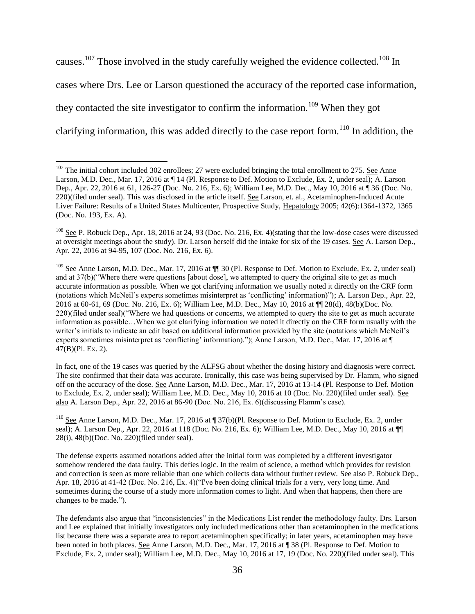causes.<sup>107</sup> Those involved in the study carefully weighed the evidence collected.<sup>108</sup> In cases where Drs. Lee or Larson questioned the accuracy of the reported case information, they contacted the site investigator to confirm the information.<sup>109</sup> When they got clarifying information, this was added directly to the case report form.<sup>110</sup> In addition, the

 $\overline{\phantom{a}}$ 

In fact, one of the 19 cases was queried by the ALFSG about whether the dosing history and diagnosis were correct. The site confirmed that their data was accurate. Ironically, this case was being supervised by Dr. Flamm, who signed off on the accuracy of the dose. See Anne Larson, M.D. Dec., Mar. 17, 2016 at 13-14 (Pl. Response to Def. Motion to Exclude, Ex. 2, under seal); William Lee, M.D. Dec., May 10, 2016 at 10 (Doc. No. 220)(filed under seal). See also A. Larson Dep., Apr. 22, 2016 at 86-90 (Doc. No. 216, Ex. 6)(discussing Flamm's case).

 $107$  The initial cohort included 302 enrollees; 27 were excluded bringing the total enrollment to 275. See Anne Larson, M.D. Dec., Mar. 17, 2016 at ¶ 14 (Pl. Response to Def. Motion to Exclude, Ex. 2, under seal); A. Larson Dep., Apr. 22, 2016 at 61, 126-27 (Doc. No. 216, Ex. 6); William Lee, M.D. Dec., May 10, 2016 at ¶ 36 (Doc. No. 220)(filed under seal). This was disclosed in the article itself. See Larson, et. al., Acetaminophen-Induced Acute Liver Failure: Results of a United States Multicenter, Prospective Study, Hepatology 2005; 42(6):1364-1372, 1365 (Doc. No. 193, Ex. A).

 $108$  See P. Robuck Dep., Apr. 18, 2016 at 24, 93 (Doc. No. 216, Ex. 4)(stating that the low-dose cases were discussed at oversight meetings about the study). Dr. Larson herself did the intake for six of the 19 cases. See A. Larson Dep., Apr. 22, 2016 at 94-95, 107 (Doc. No. 216, Ex. 6).

 $109$  See Anne Larson, M.D. Dec., Mar. 17, 2016 at  $\P$  30 (Pl. Response to Def. Motion to Exclude, Ex. 2, under seal) and at 37(b)("Where there were questions [about dose], we attempted to query the original site to get as much accurate information as possible. When we got clarifying information we usually noted it directly on the CRF form (notations which McNeil's experts sometimes misinterpret as 'conflicting' information)"); A. Larson Dep., Apr. 22, 2016 at 60-61, 69 (Doc. No. 216, Ex. 6); William Lee, M.D. Dec., May 10, 2016 at ¶¶ 28(d), 48(b)(Doc. No. 220)(filed under seal)("Where we had questions or concerns, we attempted to query the site to get as much accurate information as possible…When we got clarifying information we noted it directly on the CRF form usually with the writer's initials to indicate an edit based on additional information provided by the site (notations which McNeil's experts sometimes misinterpret as 'conflicting' information)."); Anne Larson, M.D. Dec., Mar. 17, 2016 at ¶ 47(B)(Pl. Ex. 2).

<sup>&</sup>lt;sup>110</sup> See Anne Larson, M.D. Dec., Mar. 17, 2016 at ¶ 37(b)(Pl. Response to Def. Motion to Exclude, Ex. 2, under seal); A. Larson Dep., Apr. 22, 2016 at 118 (Doc. No. 216, Ex. 6); William Lee, M.D. Dec., May 10, 2016 at ¶¶ 28(i), 48(b)(Doc. No. 220)(filed under seal).

The defense experts assumed notations added after the initial form was completed by a different investigator somehow rendered the data faulty. This defies logic. In the realm of science, a method which provides for revision and correction is seen as more reliable than one which collects data without further review. See also P. Robuck Dep., Apr. 18, 2016 at 41-42 (Doc. No. 216, Ex. 4)("I've been doing clinical trials for a very, very long time. And sometimes during the course of a study more information comes to light. And when that happens, then there are changes to be made.").

The defendants also argue that "inconsistencies" in the Medications List render the methodology faulty. Drs. Larson and Lee explained that initially investigators only included medications other than acetaminophen in the medications list because there was a separate area to report acetaminophen specifically; in later years, acetaminophen may have been noted in both places. See Anne Larson, M.D. Dec., Mar. 17, 2016 at ¶ 38 (Pl. Response to Def. Motion to Exclude, Ex. 2, under seal); William Lee, M.D. Dec., May 10, 2016 at 17, 19 (Doc. No. 220)(filed under seal). This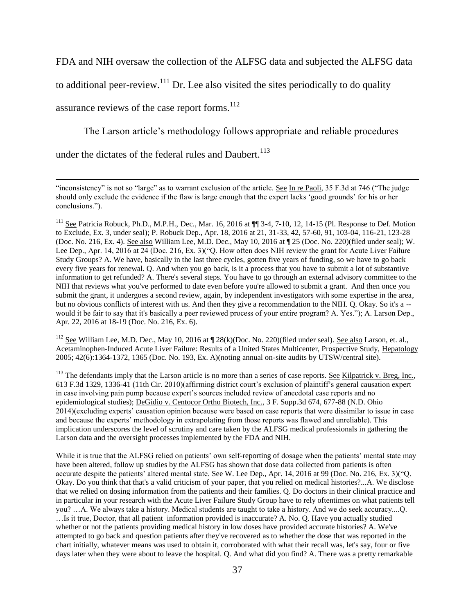FDA and NIH oversaw the collection of the ALFSG data and subjected the ALFSG data

to additional peer-review.<sup>111</sup> Dr. Lee also visited the sites periodically to do quality

assurance reviews of the case report forms.<sup>112</sup>

 $\overline{a}$ 

The Larson article's methodology follows appropriate and reliable procedures

under the dictates of the federal rules and **Daubert**.<sup>113</sup>

<sup>112</sup> See William Lee, M.D. Dec., May 10, 2016 at  $\P$  28(k)(Doc. No. 220)(filed under seal). See also Larson, et. al., Acetaminophen-Induced Acute Liver Failure: Results of a United States Multicenter, Prospective Study, Hepatology 2005; 42(6):1364-1372, 1365 (Doc. No. 193, Ex. A)(noting annual on-site audits by UTSW/central site).

 $113$  The defendants imply that the Larson article is no more than a series of case reports. See Kilpatrick v. Breg, Inc., 613 F.3d 1329, 1336-41 (11th Cir. 2010)(affirming district court's exclusion of plaintiff's general causation expert in case involving pain pump because expert's sources included review of anecdotal case reports and no epidemiological studies); DeGidio v. Centocor Ortho Biotech, Inc., 3 F. Supp.3d 674, 677-88 (N.D. Ohio 2014)(excluding experts' causation opinion because were based on case reports that were dissimilar to issue in case and because the experts' methodology in extrapolating from those reports was flawed and unreliable). This implication underscores the level of scrutiny and care taken by the ALFSG medical professionals in gathering the Larson data and the oversight processes implemented by the FDA and NIH.

While it is true that the ALFSG relied on patients' own self-reporting of dosage when the patients' mental state may have been altered, follow up studies by the ALFSG has shown that dose data collected from patients is often accurate despite the patients' altered mental state. See W. Lee Dep., Apr. 14, 2016 at 99 (Doc. No. 216, Ex. 3)("Q. Okay. Do you think that that's a valid criticism of your paper, that you relied on medical histories?...A. We disclose that we relied on dosing information from the patients and their families. Q. Do doctors in their clinical practice and in particular in your research with the Acute Liver Failure Study Group have to rely oftentimes on what patients tell you? …A. We always take a history. Medical students are taught to take a history. And we do seek accuracy....Q. …Is it true, Doctor, that all patient information provided is inaccurate? A. No. Q. Have you actually studied whether or not the patients providing medical history in low doses have provided accurate histories? A. We've attempted to go back and question patients after they've recovered as to whether the dose that was reported in the chart initially, whatever means was used to obtain it, corroborated with what their recall was, let's say, four or five days later when they were about to leave the hospital. Q. And what did you find? A. There was a pretty remarkable

<sup>&</sup>quot;inconsistency" is not so "large" as to warrant exclusion of the article. See In re Paoli, 35 F.3d at 746 ("The judge should only exclude the evidence if the flaw is large enough that the expert lacks 'good grounds' for his or her conclusions.").

<sup>&</sup>lt;sup>111</sup> See Patricia Robuck, Ph.D., M.P.H., Dec., Mar. 16, 2016 at  $\P$  3-4, 7-10, 12, 14-15 (Pl. Response to Def. Motion to Exclude, Ex. 3, under seal); P. Robuck Dep., Apr. 18, 2016 at 21, 31-33, 42, 57-60, 91, 103-04, 116-21, 123-28 (Doc. No. 216, Ex. 4). See also William Lee, M.D. Dec., May 10, 2016 at ¶ 25 (Doc. No. 220)(filed under seal); W. Lee Dep., Apr. 14, 2016 at 24 (Doc. 216, Ex. 3)("Q. How often does NIH review the grant for Acute Liver Failure Study Groups? A. We have, basically in the last three cycles, gotten five years of funding, so we have to go back every five years for renewal. Q. And when you go back, is it a process that you have to submit a lot of substantive information to get refunded? A. There's several steps. You have to go through an external advisory committee to the NIH that reviews what you've performed to date even before you're allowed to submit a grant. And then once you submit the grant, it undergoes a second review, again, by independent investigators with some expertise in the area, but no obvious conflicts of interest with us. And then they give a recommendation to the NIH. Q. Okay. So it's a - would it be fair to say that it's basically a peer reviewed process of your entire program? A. Yes."); A. Larson Dep., Apr. 22, 2016 at 18-19 (Doc. No. 216, Ex. 6).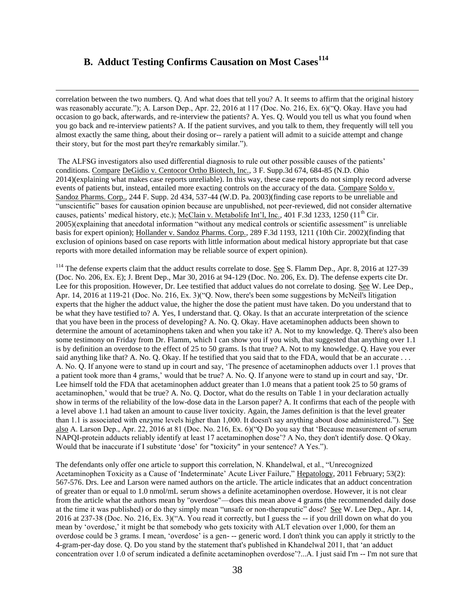# **B. Adduct Testing Confirms Causation on Most Cases<sup>114</sup>**

 $\overline{\phantom{a}}$ 

correlation between the two numbers. Q. And what does that tell you? A. It seems to affirm that the original history was reasonably accurate."); A. Larson Dep., Apr. 22, 2016 at 117 (Doc. No. 216, Ex. 6)("Q. Okay. Have you had occasion to go back, afterwards, and re-interview the patients? A. Yes. Q. Would you tell us what you found when you go back and re-interview patients? A. If the patient survives, and you talk to them, they frequently will tell you almost exactly the same thing, about their dosing or-- rarely a patient will admit to a suicide attempt and change their story, but for the most part they're remarkably similar.").

The ALFSG investigators also used differential diagnosis to rule out other possible causes of the patients' conditions. Compare DeGidio v. Centocor Ortho Biotech, Inc., 3 F. Supp.3d 674, 684-85 (N.D. Ohio 2014)(explaining what makes case reports unreliable). In this way, these case reports do not simply record adverse events of patients but, instead, entailed more exacting controls on the accuracy of the data. Compare Soldo v. Sandoz Pharms. Corp., 244 F. Supp. 2d 434, 537-44 (W.D. Pa. 2003)(finding case reports to be unreliable and "unscientific" bases for causation opinion because are unpublished, not peer-reviewed, did not consider alternative causes, patients' medical history, etc.); McClain v. Metabolife Int'l, Inc., 401 F.3d 1233, 1250 ( $11<sup>th</sup>$  Cir. 2005)(explaining that anecdotal information "without any medical controls or scientific assessment" is unreliable basis for expert opinion); Hollander v. Sandoz Pharms. Corp., 289 F.3d 1193, 1211 (10th Cir. 2002)(finding that exclusion of opinions based on case reports with little information about medical history appropriate but that case reports with more detailed information may be reliable source of expert opinion).

<sup>114</sup> The defense experts claim that the adduct results correlate to dose. <u>See</u> S. Flamm Dep., Apr. 8, 2016 at 127-39 (Doc. No. 206, Ex. E); J. Brent Dep., Mar 30, 2016 at 94-129 (Doc. No. 206, Ex. D). The defense experts cite Dr. Lee for this proposition. However, Dr. Lee testified that adduct values do not correlate to dosing. See W. Lee Dep., Apr. 14, 2016 at 119-21 (Doc. No. 216, Ex. 3)("Q. Now, there's been some suggestions by McNeil's litigation experts that the higher the adduct value, the higher the dose the patient must have taken. Do you understand that to be what they have testified to? A. Yes, I understand that. Q. Okay. Is that an accurate interpretation of the science that you have been in the process of developing? A. No. Q. Okay. Have acetaminophen adducts been shown to determine the amount of acetaminophens taken and when you take it? A. Not to my knowledge. Q. There's also been some testimony on Friday from Dr. Flamm, which I can show you if you wish, that suggested that anything over 1.1 is by definition an overdose to the effect of 25 to 50 grams. Is that true? A. Not to my knowledge. Q. Have you ever said anything like that? A. No. Q. Okay. If he testified that you said that to the FDA, would that be an accurate . . . A. No. Q. If anyone were to stand up in court and say, 'The presence of acetaminophen adducts over 1.1 proves that a patient took more than 4 grams,' would that be true? A. No. Q. If anyone were to stand up in court and say, 'Dr. Lee himself told the FDA that acetaminophen adduct greater than 1.0 means that a patient took 25 to 50 grams of acetaminophen,' would that be true? A. No. Q. Doctor, what do the results on Table 1 in your declaration actually show in terms of the reliability of the low-dose data in the Larson paper? A. It confirms that each of the people with a level above 1.1 had taken an amount to cause liver toxicity. Again, the James definition is that the level greater than 1.1 is associated with enzyme levels higher than 1,000. It doesn't say anything about dose administered."). See also A. Larson Dep., Apr. 22, 2016 at 81 (Doc. No. 216, Ex. 6)("Q Do you say that 'Because measurement of serum NAPQI-protein adducts reliably identify at least 17 acetaminophen dose'? A No, they don't identify dose. Q Okay. Would that be inaccurate if I substitute 'dose' for "toxicity" in your sentence? A Yes.").

The defendants only offer one article to support this correlation, N. Khandelwal, et al., "Unrecognized Acetaminophen Toxicity as a Cause of 'Indeterminate' Acute Liver Failure," Hepatology, 2011 February; 53(2): 567-576. Drs. Lee and Larson were named authors on the article. The article indicates that an adduct concentration of greater than or equal to 1.0 nmol/mL serum shows a definite acetaminophen overdose. However, it is not clear from the article what the authors mean by "overdose"—does this mean above 4 grams (the recommended daily dose at the time it was published) or do they simply mean "unsafe or non-therapeutic" dose? See W. Lee Dep., Apr. 14, 2016 at 237-38 (Doc. No. 216, Ex. 3)("A. You read it correctly, but I guess the -- if you drill down on what do you mean by 'overdose,' it might be that somebody who gets toxicity with ALT elevation over 1,000, for them an overdose could be 3 grams. I mean, 'overdose' is a gen- -- generic word. I don't think you can apply it strictly to the 4-gram-per-day dose. Q. Do you stand by the statement that's published in Khandelwal 2011, that 'an adduct concentration over 1.0 of serum indicated a definite acetaminophen overdose'?...A. I just said I'm -- I'm not sure that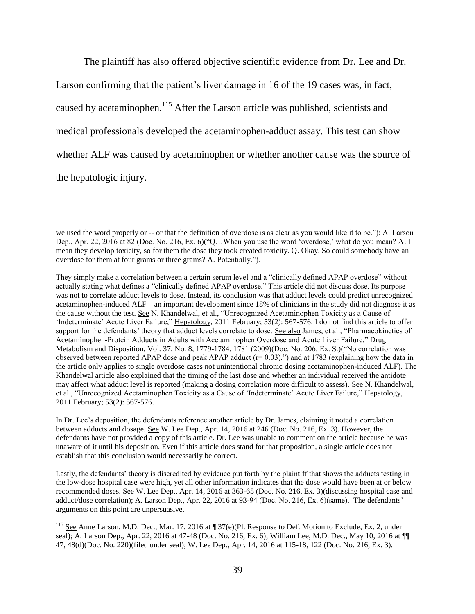The plaintiff has also offered objective scientific evidence from Dr. Lee and Dr. Larson confirming that the patient's liver damage in 16 of the 19 cases was, in fact, caused by acetaminophen.<sup>115</sup> After the Larson article was published, scientists and medical professionals developed the acetaminophen-adduct assay. This test can show whether ALF was caused by acetaminophen or whether another cause was the source of the hepatologic injury.

 $\overline{\phantom{a}}$ 

In Dr. Lee's deposition, the defendants reference another article by Dr. James, claiming it noted a correlation between adducts and dosage. See W. Lee Dep., Apr. 14, 2016 at 246 (Doc. No. 216, Ex. 3). However, the defendants have not provided a copy of this article. Dr. Lee was unable to comment on the article because he was unaware of it until his deposition. Even if this article does stand for that proposition, a single article does not establish that this conclusion would necessarily be correct.

Lastly, the defendants' theory is discredited by evidence put forth by the plaintiff that shows the adducts testing in the low-dose hospital case were high, yet all other information indicates that the dose would have been at or below recommended doses. See W. Lee Dep., Apr. 14, 2016 at 363-65 (Doc. No. 216, Ex. 3)(discussing hospital case and adduct/dose correlation); A. Larson Dep., Apr. 22, 2016 at 93-94 (Doc. No. 216, Ex. 6)(same). The defendants' arguments on this point are unpersuasive.

we used the word properly or -- or that the definition of overdose is as clear as you would like it to be."); A. Larson Dep., Apr. 22, 2016 at 82 (Doc. No. 216, Ex. 6)("Q…When you use the word 'overdose,' what do you mean? A. I mean they develop toxicity, so for them the dose they took created toxicity. Q. Okay. So could somebody have an overdose for them at four grams or three grams? A. Potentially.").

They simply make a correlation between a certain serum level and a "clinically defined APAP overdose" without actually stating what defines a "clinically defined APAP overdose." This article did not discuss dose. Its purpose was not to correlate adduct levels to dose. Instead, its conclusion was that adduct levels could predict unrecognized acetaminophen-induced ALF—an important development since 18% of clinicians in the study did not diagnose it as the cause without the test. See N. Khandelwal, et al., "Unrecognized Acetaminophen Toxicity as a Cause of 'Indeterminate' Acute Liver Failure," Hepatology, 2011 February; 53(2): 567-576. I do not find this article to offer support for the defendants' theory that adduct levels correlate to dose. See also James, et al., "Pharmacokinetics of Acetaminophen-Protein Adducts in Adults with Acetaminophen Overdose and Acute Liver Failure," Drug Metabolism and Disposition, Vol. 37, No. 8, 1779-1784, 1781 (2009)(Doc. No. 206, Ex. S.)("No correlation was observed between reported APAP dose and peak APAP adduct  $(r= 0.03)$ .") and at 1783 (explaining how the data in the article only applies to single overdose cases not unintentional chronic dosing acetaminophen-induced ALF). The Khandelwal article also explained that the timing of the last dose and whether an individual received the antidote may affect what adduct level is reported (making a dosing correlation more difficult to assess). See N. Khandelwal, et al., "Unrecognized Acetaminophen Toxicity as a Cause of 'Indeterminate' Acute Liver Failure," Hepatology, 2011 February; 53(2): 567-576.

<sup>&</sup>lt;sup>115</sup> See Anne Larson, M.D. Dec., Mar. 17, 2016 at ¶ 37(e)(Pl. Response to Def. Motion to Exclude, Ex. 2, under seal); A. Larson Dep., Apr. 22, 2016 at 47-48 (Doc. No. 216, Ex. 6); William Lee, M.D. Dec., May 10, 2016 at  $\P$ 47, 48(d)(Doc. No. 220)(filed under seal); W. Lee Dep., Apr. 14, 2016 at 115-18, 122 (Doc. No. 216, Ex. 3).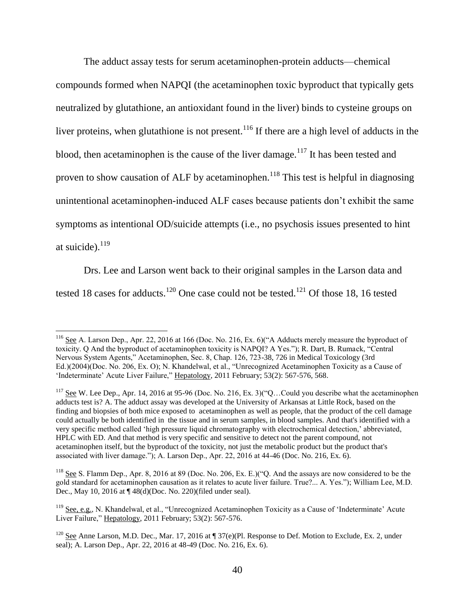The adduct assay tests for serum acetaminophen-protein adducts—chemical compounds formed when NAPQI (the acetaminophen toxic byproduct that typically gets neutralized by glutathione, an antioxidant found in the liver) binds to cysteine groups on liver proteins, when glutathione is not present.<sup>116</sup> If there are a high level of adducts in the blood, then acetaminophen is the cause of the liver damage.<sup>117</sup> It has been tested and proven to show causation of ALF by acetaminophen.<sup>118</sup> This test is helpful in diagnosing unintentional acetaminophen-induced ALF cases because patients don't exhibit the same symptoms as intentional OD/suicide attempts (i.e., no psychosis issues presented to hint at suicide). $^{119}$ 

Drs. Lee and Larson went back to their original samples in the Larson data and tested 18 cases for adducts.<sup>120</sup> One case could not be tested.<sup>121</sup> Of those 18, 16 tested

<sup>&</sup>lt;sup>116</sup> See A. Larson Dep., Apr. 22, 2016 at 166 (Doc. No. 216, Ex. 6)("A Adducts merely measure the byproduct of toxicity. Q And the byproduct of acetaminophen toxicity is NAPQI? A Yes."); R. Dart, B. Rumack, "Central Nervous System Agents," Acetaminophen, Sec. 8, Chap. 126, 723-38, 726 in Medical Toxicology (3rd Ed.)(2004)(Doc. No. 206, Ex. O); N. Khandelwal, et al., "Unrecognized Acetaminophen Toxicity as a Cause of 'Indeterminate' Acute Liver Failure," Hepatology, 2011 February; 53(2): 567-576, 568.

 $117$  See W. Lee Dep., Apr. 14, 2016 at 95-96 (Doc. No. 216, Ex. 3)("Q...Could you describe what the acetaminophen adducts test is? A. The adduct assay was developed at the University of Arkansas at Little Rock, based on the finding and biopsies of both mice exposed to acetaminophen as well as people, that the product of the cell damage could actually be both identified in the tissue and in serum samples, in blood samples. And that's identified with a very specific method called 'high pressure liquid chromatography with electrochemical detection,' abbreviated, HPLC with ED. And that method is very specific and sensitive to detect not the parent compound, not acetaminophen itself, but the byproduct of the toxicity, not just the metabolic product but the product that's associated with liver damage."); A. Larson Dep., Apr. 22, 2016 at 44-46 (Doc. No. 216, Ex. 6).

<sup>&</sup>lt;sup>118</sup> See S. Flamm Dep., Apr. 8, 2016 at 89 (Doc. No. 206, Ex. E.)("Q. And the assays are now considered to be the gold standard for acetaminophen causation as it relates to acute liver failure. True?... A. Yes."); William Lee, M.D. Dec., May 10, 2016 at ¶ 48(d)(Doc. No. 220)(filed under seal).

<sup>119</sup> See, e.g., N. Khandelwal, et al., "Unrecognized Acetaminophen Toxicity as a Cause of 'Indeterminate' Acute Liver Failure," Hepatology, 2011 February; 53(2): 567-576.

<sup>&</sup>lt;sup>120</sup> See Anne Larson, M.D. Dec., Mar. 17, 2016 at ¶ 37(e)(Pl. Response to Def. Motion to Exclude, Ex. 2, under seal); A. Larson Dep., Apr. 22, 2016 at 48-49 (Doc. No. 216, Ex. 6).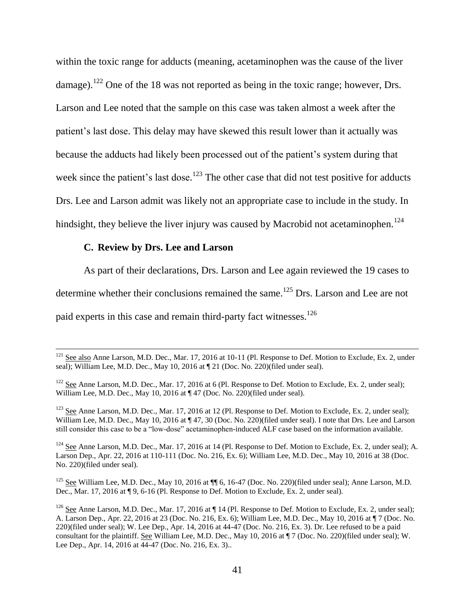within the toxic range for adducts (meaning, acetaminophen was the cause of the liver damage).<sup>122</sup> One of the 18 was not reported as being in the toxic range; however, Drs. Larson and Lee noted that the sample on this case was taken almost a week after the patient's last dose. This delay may have skewed this result lower than it actually was because the adducts had likely been processed out of the patient's system during that week since the patient's last dose.<sup>123</sup> The other case that did not test positive for adducts Drs. Lee and Larson admit was likely not an appropriate case to include in the study. In hindsight, they believe the liver injury was caused by Macrobid not acetaminophen.<sup>124</sup>

#### **C. Review by Drs. Lee and Larson**

 $\overline{\phantom{a}}$ 

As part of their declarations, Drs. Larson and Lee again reviewed the 19 cases to determine whether their conclusions remained the same.<sup>125</sup> Drs. Larson and Lee are not paid experts in this case and remain third-party fact witnesses.<sup>126</sup>

<sup>123</sup> See Anne Larson, M.D. Dec., Mar. 17, 2016 at 12 (Pl. Response to Def. Motion to Exclude, Ex. 2, under seal); William Lee, M.D. Dec., May 10, 2016 at  $\P$  47, 30 (Doc. No. 220)(filed under seal). I note that Drs. Lee and Larson still consider this case to be a "low-dose" acetaminophen-induced ALF case based on the information available.

 $124$  See Anne Larson, M.D. Dec., Mar. 17, 2016 at 14 (Pl. Response to Def. Motion to Exclude, Ex. 2, under seal); A. Larson Dep., Apr. 22, 2016 at 110-111 (Doc. No. 216, Ex. 6); William Lee, M.D. Dec., May 10, 2016 at 38 (Doc. No. 220)(filed under seal).

<sup>125</sup> See William Lee, M.D. Dec., May 10, 2016 at ¶ 6, 16-47 (Doc. No. 220)(filed under seal); Anne Larson, M.D. Dec., Mar. 17, 2016 at ¶ 9, 6-16 (Pl. Response to Def. Motion to Exclude, Ex. 2, under seal).

<sup>&</sup>lt;sup>121</sup> See also Anne Larson, M.D. Dec., Mar. 17, 2016 at 10-11 (Pl. Response to Def. Motion to Exclude, Ex. 2, under seal); William Lee, M.D. Dec., May 10, 2016 at ¶ 21 (Doc. No. 220)(filed under seal).

<sup>&</sup>lt;sup>122</sup> See Anne Larson, M.D. Dec., Mar. 17, 2016 at 6 (Pl. Response to Def. Motion to Exclude, Ex. 2, under seal); William Lee, M.D. Dec., May 10, 2016 at  $\P$  47 (Doc. No. 220)(filed under seal).

<sup>&</sup>lt;sup>126</sup> See Anne Larson, M.D. Dec., Mar. 17, 2016 at  $\P$  14 (Pl. Response to Def. Motion to Exclude, Ex. 2, under seal); A. Larson Dep., Apr. 22, 2016 at 23 (Doc. No. 216, Ex. 6); William Lee, M.D. Dec., May 10, 2016 at ¶ 7 (Doc. No. 220)(filed under seal); W. Lee Dep., Apr. 14, 2016 at 44-47 (Doc. No. 216, Ex. 3). Dr. Lee refused to be a paid consultant for the plaintiff. See William Lee, M.D. Dec., May 10, 2016 at ¶ 7 (Doc. No. 220)(filed under seal); W. Lee Dep., Apr. 14, 2016 at 44-47 (Doc. No. 216, Ex. 3)..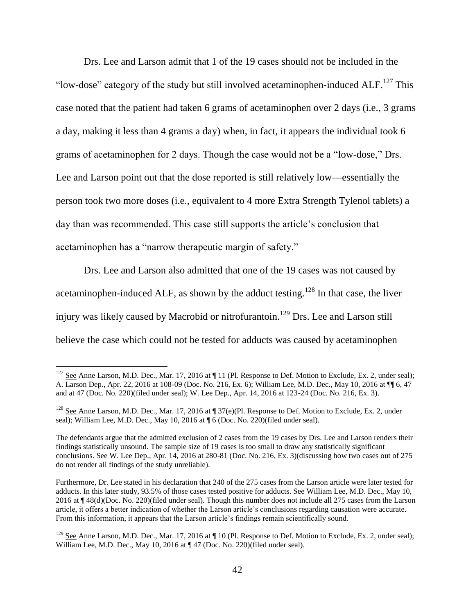Drs. Lee and Larson admit that 1 of the 19 cases should not be included in the "low-dose" category of the study but still involved acetaminophen-induced  $ALF<sup>127</sup>$ . This case noted that the patient had taken 6 grams of acetaminophen over 2 days (i.e., 3 grams a day, making it less than 4 grams a day) when, in fact, it appears the individual took 6 grams of acetaminophen for 2 days. Though the case would not be a "low-dose," Drs. Lee and Larson point out that the dose reported is still relatively low—essentially the person took two more doses (i.e., equivalent to 4 more Extra Strength Tylenol tablets) a day than was recommended. This case still supports the article's conclusion that acetaminophen has a "narrow therapeutic margin of safety."

Drs. Lee and Larson also admitted that one of the 19 cases was not caused by acetaminophen-induced ALF, as shown by the adduct testing.<sup>128</sup> In that case, the liver injury was likely caused by Macrobid or nitrofurantoin. <sup>129</sup> Drs. Lee and Larson still believe the case which could not be tested for adducts was caused by acetaminophen

l

 $127$  See Anne Larson, M.D. Dec., Mar. 17, 2016 at  $\P$  11 (Pl. Response to Def. Motion to Exclude, Ex. 2, under seal); A. Larson Dep., Apr. 22, 2016 at 108-09 (Doc. No. 216, Ex. 6); William Lee, M.D. Dec., May 10, 2016 at ¶¶ 6, 47 and at 47 (Doc. No. 220)(filed under seal); W. Lee Dep., Apr. 14, 2016 at 123-24 (Doc. No. 216, Ex. 3).

<sup>&</sup>lt;sup>128</sup> See Anne Larson, M.D. Dec., Mar. 17, 2016 at  $\P$  37(e)(Pl. Response to Def. Motion to Exclude, Ex. 2, under seal); William Lee, M.D. Dec., May 10, 2016 at  $\P 6$  (Doc. No. 220)(filed under seal).

The defendants argue that the admitted exclusion of 2 cases from the 19 cases by Drs. Lee and Larson renders their findings statistically unsound. The sample size of 19 cases is too small to draw any statistically significant conclusions. See W. Lee Dep., Apr. 14, 2016 at 280-81 (Doc. No. 216, Ex. 3)(discussing how two cases out of 275 do not render all findings of the study unreliable).

Furthermore, Dr. Lee stated in his declaration that 240 of the 275 cases from the Larson article were later tested for adducts. In this later study, 93.5% of those cases tested positive for adducts. See William Lee, M.D. Dec., May 10, 2016 at ¶ 48(d)(Doc. No. 220)(filed under seal). Though this number does not include all 275 cases from the Larson article, it offers a better indication of whether the Larson article's conclusions regarding causation were accurate. From this information, it appears that the Larson article's findings remain scientifically sound.

<sup>&</sup>lt;sup>129</sup> See Anne Larson, M.D. Dec., Mar. 17, 2016 at  $\P$  10 (Pl. Response to Def. Motion to Exclude, Ex. 2, under seal); William Lee, M.D. Dec., May 10, 2016 at  $\P$  47 (Doc. No. 220)(filed under seal).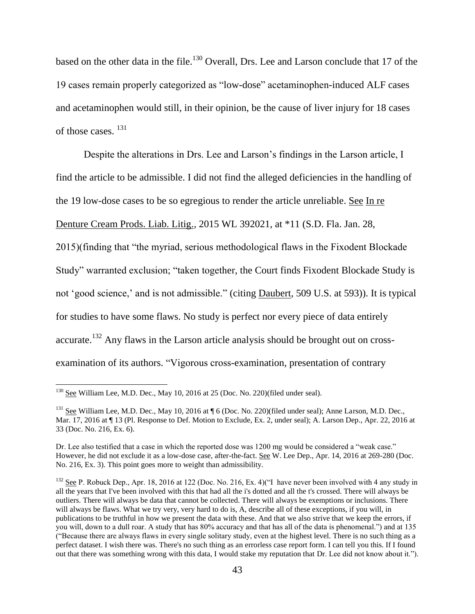based on the other data in the file.<sup>130</sup> Overall, Drs. Lee and Larson conclude that 17 of the 19 cases remain properly categorized as "low-dose" acetaminophen-induced ALF cases and acetaminophen would still, in their opinion, be the cause of liver injury for 18 cases of those cases. <sup>131</sup>

Despite the alterations in Drs. Lee and Larson's findings in the Larson article, I find the article to be admissible. I did not find the alleged deficiencies in the handling of the 19 low-dose cases to be so egregious to render the article unreliable. See In re

Denture Cream Prods. Liab. Litig., 2015 WL 392021, at \*11 (S.D. Fla. Jan. 28,

2015)(finding that "the myriad, serious methodological flaws in the Fixodent Blockade Study" warranted exclusion; "taken together, the Court finds Fixodent Blockade Study is not 'good science,' and is not admissible." (citing Daubert, 509 U.S. at 593)). It is typical for studies to have some flaws. No study is perfect nor every piece of data entirely accurate.<sup>132</sup> Any flaws in the Larson article analysis should be brought out on crossexamination of its authors. "Vigorous cross-examination, presentation of contrary

 $130$  See William Lee, M.D. Dec., May 10, 2016 at 25 (Doc. No. 220)(filed under seal).

<sup>&</sup>lt;sup>131</sup> See William Lee, M.D. Dec., May 10, 2016 at ¶ 6 (Doc. No. 220)(filed under seal); Anne Larson, M.D. Dec., Mar. 17, 2016 at ¶ 13 (Pl. Response to Def. Motion to Exclude, Ex. 2, under seal); A. Larson Dep., Apr. 22, 2016 at 33 (Doc. No. 216, Ex. 6).

Dr. Lee also testified that a case in which the reported dose was 1200 mg would be considered a "weak case." However, he did not exclude it as a low-dose case, after-the-fact. See W. Lee Dep., Apr. 14, 2016 at 269-280 (Doc. No. 216, Ex. 3). This point goes more to weight than admissibility.

 $132$  See P. Robuck Dep., Apr. 18, 2016 at 122 (Doc. No. 216, Ex. 4)("I have never been involved with 4 any study in all the years that I've been involved with this that had all the i's dotted and all the t's crossed. There will always be outliers. There will always be data that cannot be collected. There will always be exemptions or inclusions. There will always be flaws. What we try very, very hard to do is, A, describe all of these exceptions, if you will, in publications to be truthful in how we present the data with these. And that we also strive that we keep the errors, if you will, down to a dull roar. A study that has 80% accuracy and that has all of the data is phenomenal.") and at 135 ("Because there are always flaws in every single solitary study, even at the highest level. There is no such thing as a perfect dataset. I wish there was. There's no such thing as an errorless case report form. I can tell you this. If I found out that there was something wrong with this data, I would stake my reputation that Dr. Lee did not know about it.").